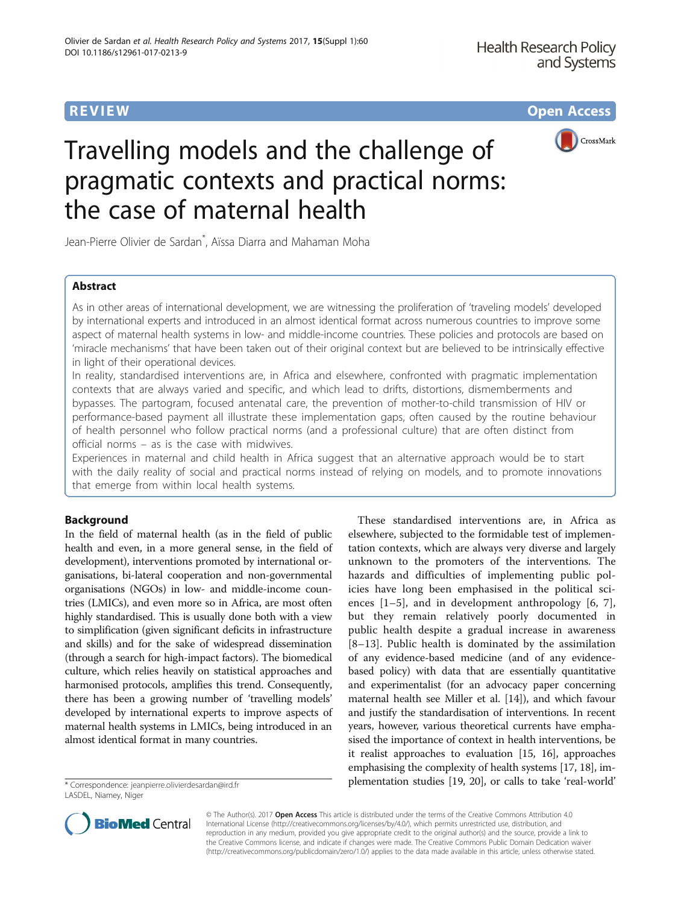**REVIEW CONSTRUCTION CONSTRUCTION CONSTRUCTS** 



# Travelling models and the challenge of pragmatic contexts and practical norms: the case of maternal health

Jean-Pierre Olivier de Sardan\* , Aïssa Diarra and Mahaman Moha

# Abstract

As in other areas of international development, we are witnessing the proliferation of 'traveling models' developed by international experts and introduced in an almost identical format across numerous countries to improve some aspect of maternal health systems in low- and middle-income countries. These policies and protocols are based on 'miracle mechanisms' that have been taken out of their original context but are believed to be intrinsically effective in light of their operational devices.

In reality, standardised interventions are, in Africa and elsewhere, confronted with pragmatic implementation contexts that are always varied and specific, and which lead to drifts, distortions, dismemberments and bypasses. The partogram, focused antenatal care, the prevention of mother-to-child transmission of HIV or performance-based payment all illustrate these implementation gaps, often caused by the routine behaviour of health personnel who follow practical norms (and a professional culture) that are often distinct from official norms – as is the case with midwives.

Experiences in maternal and child health in Africa suggest that an alternative approach would be to start with the daily reality of social and practical norms instead of relying on models, and to promote innovations that emerge from within local health systems.

# Background

In the field of maternal health (as in the field of public health and even, in a more general sense, in the field of development), interventions promoted by international organisations, bi-lateral cooperation and non-governmental organisations (NGOs) in low- and middle-income countries (LMICs), and even more so in Africa, are most often highly standardised. This is usually done both with a view to simplification (given significant deficits in infrastructure and skills) and for the sake of widespread dissemination (through a search for high-impact factors). The biomedical culture, which relies heavily on statistical approaches and harmonised protocols, amplifies this trend. Consequently, there has been a growing number of 'travelling models' developed by international experts to improve aspects of maternal health systems in LMICs, being introduced in an almost identical format in many countries.

LASDEL, Niamey, Niger

These standardised interventions are, in Africa as elsewhere, subjected to the formidable test of implementation contexts, which are always very diverse and largely unknown to the promoters of the interventions. The hazards and difficulties of implementing public policies have long been emphasised in the political sciences [[1](#page-13-0)–[5\]](#page-13-0), and in development anthropology [\[6](#page-13-0), [7](#page-13-0)], but they remain relatively poorly documented in public health despite a gradual increase in awareness [[8](#page-13-0)–[13\]](#page-13-0). Public health is dominated by the assimilation of any evidence-based medicine (and of any evidencebased policy) with data that are essentially quantitative and experimentalist (for an advocacy paper concerning maternal health see Miller et al. [[14](#page-13-0)]), and which favour and justify the standardisation of interventions. In recent years, however, various theoretical currents have emphasised the importance of context in health interventions, be it realist approaches to evaluation [[15](#page-13-0), [16](#page-13-0)], approaches emphasising the complexity of health systems [[17](#page-13-0), [18\]](#page-13-0), implementation studies [\[19](#page-14-0), [20](#page-14-0)], or calls to take 'real-world' \* Correspondence: [jeanpierre.olivierdesardan@ird.fr](mailto:jeanpierre.olivierdesardan@ird.fr)



© The Author(s). 2017 **Open Access** This article is distributed under the terms of the Creative Commons Attribution 4.0 International License [\(http://creativecommons.org/licenses/by/4.0/](http://creativecommons.org/licenses/by/4.0/)), which permits unrestricted use, distribution, and reproduction in any medium, provided you give appropriate credit to the original author(s) and the source, provide a link to the Creative Commons license, and indicate if changes were made. The Creative Commons Public Domain Dedication waiver [\(http://creativecommons.org/publicdomain/zero/1.0/](http://creativecommons.org/publicdomain/zero/1.0/)) applies to the data made available in this article, unless otherwise stated.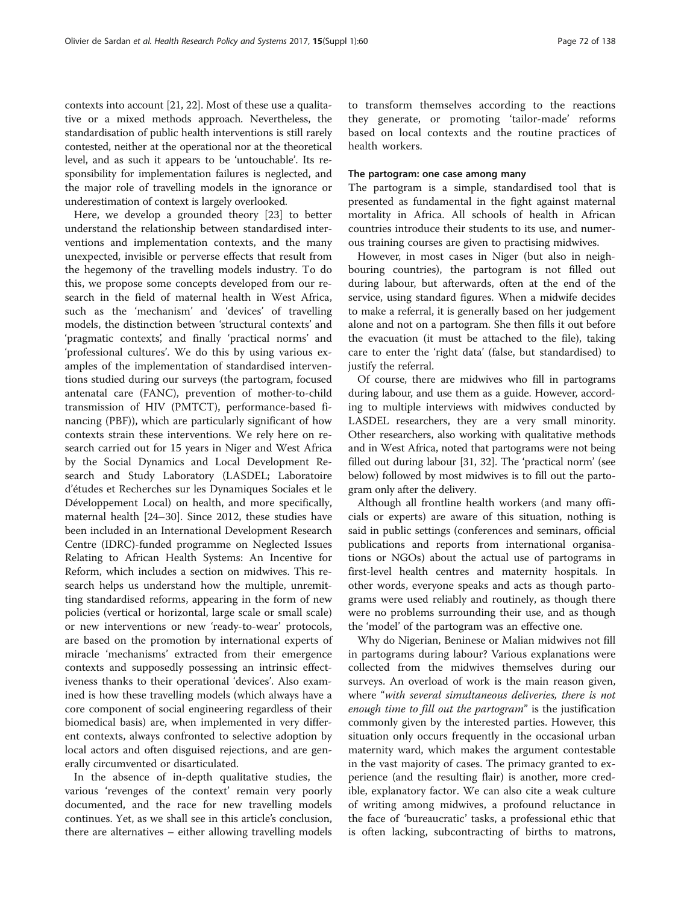contexts into account [[21](#page-14-0), [22\]](#page-14-0). Most of these use a qualitative or a mixed methods approach. Nevertheless, the standardisation of public health interventions is still rarely contested, neither at the operational nor at the theoretical level, and as such it appears to be 'untouchable'. Its responsibility for implementation failures is neglected, and the major role of travelling models in the ignorance or underestimation of context is largely overlooked.

Here, we develop a grounded theory [[23](#page-14-0)] to better understand the relationship between standardised interventions and implementation contexts, and the many unexpected, invisible or perverse effects that result from the hegemony of the travelling models industry. To do this, we propose some concepts developed from our research in the field of maternal health in West Africa, such as the 'mechanism' and 'devices' of travelling models, the distinction between 'structural contexts' and 'pragmatic contexts', and finally 'practical norms' and 'professional cultures'. We do this by using various examples of the implementation of standardised interventions studied during our surveys (the partogram, focused antenatal care (FANC), prevention of mother-to-child transmission of HIV (PMTCT), performance-based financing (PBF)), which are particularly significant of how contexts strain these interventions. We rely here on research carried out for 15 years in Niger and West Africa by the Social Dynamics and Local Development Research and Study Laboratory (LASDEL; Laboratoire d'études et Recherches sur les Dynamiques Sociales et le Développement Local) on health, and more specifically, maternal health [[24](#page-14-0)–[30\]](#page-14-0). Since 2012, these studies have been included in an International Development Research Centre (IDRC)-funded programme on Neglected Issues Relating to African Health Systems: An Incentive for Reform, which includes a section on midwives. This research helps us understand how the multiple, unremitting standardised reforms, appearing in the form of new policies (vertical or horizontal, large scale or small scale) or new interventions or new 'ready-to-wear' protocols, are based on the promotion by international experts of miracle 'mechanisms' extracted from their emergence contexts and supposedly possessing an intrinsic effectiveness thanks to their operational 'devices'. Also examined is how these travelling models (which always have a core component of social engineering regardless of their biomedical basis) are, when implemented in very different contexts, always confronted to selective adoption by local actors and often disguised rejections, and are generally circumvented or disarticulated.

In the absence of in-depth qualitative studies, the various 'revenges of the context' remain very poorly documented, and the race for new travelling models continues. Yet, as we shall see in this article's conclusion, there are alternatives – either allowing travelling models to transform themselves according to the reactions they generate, or promoting 'tailor-made' reforms based on local contexts and the routine practices of health workers.

# The partogram: one case among many

The partogram is a simple, standardised tool that is presented as fundamental in the fight against maternal mortality in Africa. All schools of health in African countries introduce their students to its use, and numerous training courses are given to practising midwives.

However, in most cases in Niger (but also in neighbouring countries), the partogram is not filled out during labour, but afterwards, often at the end of the service, using standard figures. When a midwife decides to make a referral, it is generally based on her judgement alone and not on a partogram. She then fills it out before the evacuation (it must be attached to the file), taking care to enter the 'right data' (false, but standardised) to justify the referral.

Of course, there are midwives who fill in partograms during labour, and use them as a guide. However, according to multiple interviews with midwives conducted by LASDEL researchers, they are a very small minority. Other researchers, also working with qualitative methods and in West Africa, noted that partograms were not being filled out during labour [\[31, 32\]](#page-14-0). The 'practical norm' (see below) followed by most midwives is to fill out the partogram only after the delivery.

Although all frontline health workers (and many officials or experts) are aware of this situation, nothing is said in public settings (conferences and seminars, official publications and reports from international organisations or NGOs) about the actual use of partograms in first-level health centres and maternity hospitals. In other words, everyone speaks and acts as though partograms were used reliably and routinely, as though there were no problems surrounding their use, and as though the 'model' of the partogram was an effective one.

Why do Nigerian, Beninese or Malian midwives not fill in partograms during labour? Various explanations were collected from the midwives themselves during our surveys. An overload of work is the main reason given, where "with several simultaneous deliveries, there is not enough time to fill out the partogram" is the justification commonly given by the interested parties. However, this situation only occurs frequently in the occasional urban maternity ward, which makes the argument contestable in the vast majority of cases. The primacy granted to experience (and the resulting flair) is another, more credible, explanatory factor. We can also cite a weak culture of writing among midwives, a profound reluctance in the face of 'bureaucratic' tasks, a professional ethic that is often lacking, subcontracting of births to matrons,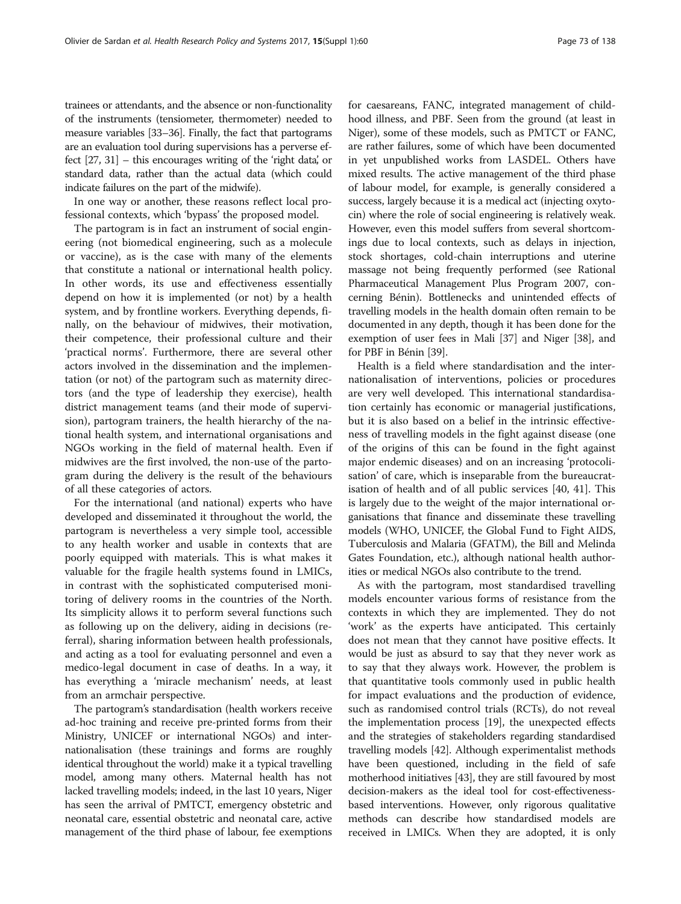trainees or attendants, and the absence or non-functionality of the instruments (tensiometer, thermometer) needed to measure variables [\[33](#page-14-0)–[36\]](#page-14-0). Finally, the fact that partograms are an evaluation tool during supervisions has a perverse effect  $[27, 31]$  $[27, 31]$  $[27, 31]$  $[27, 31]$  – this encourages writing of the 'right data', or standard data, rather than the actual data (which could indicate failures on the part of the midwife).

In one way or another, these reasons reflect local professional contexts, which 'bypass' the proposed model.

The partogram is in fact an instrument of social engineering (not biomedical engineering, such as a molecule or vaccine), as is the case with many of the elements that constitute a national or international health policy. In other words, its use and effectiveness essentially depend on how it is implemented (or not) by a health system, and by frontline workers. Everything depends, finally, on the behaviour of midwives, their motivation, their competence, their professional culture and their 'practical norms'. Furthermore, there are several other actors involved in the dissemination and the implementation (or not) of the partogram such as maternity directors (and the type of leadership they exercise), health district management teams (and their mode of supervision), partogram trainers, the health hierarchy of the national health system, and international organisations and NGOs working in the field of maternal health. Even if midwives are the first involved, the non-use of the partogram during the delivery is the result of the behaviours of all these categories of actors.

For the international (and national) experts who have developed and disseminated it throughout the world, the partogram is nevertheless a very simple tool, accessible to any health worker and usable in contexts that are poorly equipped with materials. This is what makes it valuable for the fragile health systems found in LMICs, in contrast with the sophisticated computerised monitoring of delivery rooms in the countries of the North. Its simplicity allows it to perform several functions such as following up on the delivery, aiding in decisions (referral), sharing information between health professionals, and acting as a tool for evaluating personnel and even a medico-legal document in case of deaths. In a way, it has everything a 'miracle mechanism' needs, at least from an armchair perspective.

The partogram's standardisation (health workers receive ad-hoc training and receive pre-printed forms from their Ministry, UNICEF or international NGOs) and internationalisation (these trainings and forms are roughly identical throughout the world) make it a typical travelling model, among many others. Maternal health has not lacked travelling models; indeed, in the last 10 years, Niger has seen the arrival of PMTCT, emergency obstetric and neonatal care, essential obstetric and neonatal care, active management of the third phase of labour, fee exemptions for caesareans, FANC, integrated management of childhood illness, and PBF. Seen from the ground (at least in Niger), some of these models, such as PMTCT or FANC, are rather failures, some of which have been documented in yet unpublished works from LASDEL. Others have mixed results. The active management of the third phase of labour model, for example, is generally considered a success, largely because it is a medical act (injecting oxytocin) where the role of social engineering is relatively weak. However, even this model suffers from several shortcomings due to local contexts, such as delays in injection, stock shortages, cold-chain interruptions and uterine massage not being frequently performed (see Rational Pharmaceutical Management Plus Program 2007, concerning Bénin). Bottlenecks and unintended effects of travelling models in the health domain often remain to be documented in any depth, though it has been done for the exemption of user fees in Mali [\[37\]](#page-14-0) and Niger [[38\]](#page-14-0), and for PBF in Bénin [[39\]](#page-14-0).

Health is a field where standardisation and the internationalisation of interventions, policies or procedures are very well developed. This international standardisation certainly has economic or managerial justifications, but it is also based on a belief in the intrinsic effectiveness of travelling models in the fight against disease (one of the origins of this can be found in the fight against major endemic diseases) and on an increasing 'protocolisation' of care, which is inseparable from the bureaucratisation of health and of all public services [\[40, 41\]](#page-14-0). This is largely due to the weight of the major international organisations that finance and disseminate these travelling models (WHO, UNICEF, the Global Fund to Fight AIDS, Tuberculosis and Malaria (GFATM), the Bill and Melinda Gates Foundation, etc.), although national health authorities or medical NGOs also contribute to the trend.

As with the partogram, most standardised travelling models encounter various forms of resistance from the contexts in which they are implemented. They do not 'work' as the experts have anticipated. This certainly does not mean that they cannot have positive effects. It would be just as absurd to say that they never work as to say that they always work. However, the problem is that quantitative tools commonly used in public health for impact evaluations and the production of evidence, such as randomised control trials (RCTs), do not reveal the implementation process [[19](#page-14-0)], the unexpected effects and the strategies of stakeholders regarding standardised travelling models [\[42\]](#page-14-0). Although experimentalist methods have been questioned, including in the field of safe motherhood initiatives [[43](#page-14-0)], they are still favoured by most decision-makers as the ideal tool for cost-effectivenessbased interventions. However, only rigorous qualitative methods can describe how standardised models are received in LMICs. When they are adopted, it is only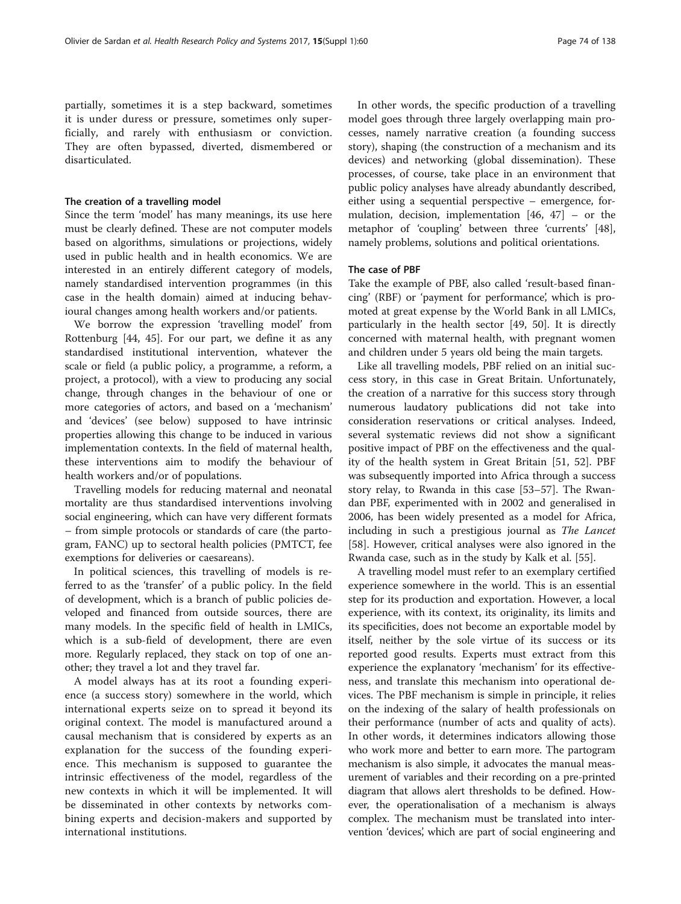partially, sometimes it is a step backward, sometimes it is under duress or pressure, sometimes only superficially, and rarely with enthusiasm or conviction. They are often bypassed, diverted, dismembered or disarticulated.

# The creation of a travelling model

Since the term 'model' has many meanings, its use here must be clearly defined. These are not computer models based on algorithms, simulations or projections, widely used in public health and in health economics. We are interested in an entirely different category of models, namely standardised intervention programmes (in this case in the health domain) aimed at inducing behavioural changes among health workers and/or patients.

We borrow the expression 'travelling model' from Rottenburg [[44](#page-14-0), [45](#page-14-0)]. For our part, we define it as any standardised institutional intervention, whatever the scale or field (a public policy, a programme, a reform, a project, a protocol), with a view to producing any social change, through changes in the behaviour of one or more categories of actors, and based on a 'mechanism' and 'devices' (see below) supposed to have intrinsic properties allowing this change to be induced in various implementation contexts. In the field of maternal health, these interventions aim to modify the behaviour of health workers and/or of populations.

Travelling models for reducing maternal and neonatal mortality are thus standardised interventions involving social engineering, which can have very different formats – from simple protocols or standards of care (the partogram, FANC) up to sectoral health policies (PMTCT, fee exemptions for deliveries or caesareans).

In political sciences, this travelling of models is referred to as the 'transfer' of a public policy. In the field of development, which is a branch of public policies developed and financed from outside sources, there are many models. In the specific field of health in LMICs, which is a sub-field of development, there are even more. Regularly replaced, they stack on top of one another; they travel a lot and they travel far.

A model always has at its root a founding experience (a success story) somewhere in the world, which international experts seize on to spread it beyond its original context. The model is manufactured around a causal mechanism that is considered by experts as an explanation for the success of the founding experience. This mechanism is supposed to guarantee the intrinsic effectiveness of the model, regardless of the new contexts in which it will be implemented. It will be disseminated in other contexts by networks combining experts and decision-makers and supported by international institutions.

In other words, the specific production of a travelling model goes through three largely overlapping main processes, namely narrative creation (a founding success story), shaping (the construction of a mechanism and its devices) and networking (global dissemination). These processes, of course, take place in an environment that public policy analyses have already abundantly described, either using a sequential perspective – emergence, formulation, decision, implementation  $[46, 47]$  $[46, 47]$  $[46, 47]$  – or the metaphor of 'coupling' between three 'currents' [\[48](#page-14-0)], namely problems, solutions and political orientations.

#### The case of PBF

Take the example of PBF, also called 'result-based financing' (RBF) or 'payment for performance', which is promoted at great expense by the World Bank in all LMICs, particularly in the health sector [[49, 50\]](#page-14-0). It is directly concerned with maternal health, with pregnant women and children under 5 years old being the main targets.

Like all travelling models, PBF relied on an initial success story, in this case in Great Britain. Unfortunately, the creation of a narrative for this success story through numerous laudatory publications did not take into consideration reservations or critical analyses. Indeed, several systematic reviews did not show a significant positive impact of PBF on the effectiveness and the quality of the health system in Great Britain [\[51, 52](#page-14-0)]. PBF was subsequently imported into Africa through a success story relay, to Rwanda in this case [\[53](#page-14-0)–[57](#page-14-0)]. The Rwandan PBF, experimented with in 2002 and generalised in 2006, has been widely presented as a model for Africa, including in such a prestigious journal as The Lancet [[58\]](#page-14-0). However, critical analyses were also ignored in the Rwanda case, such as in the study by Kalk et al. [\[55](#page-14-0)].

A travelling model must refer to an exemplary certified experience somewhere in the world. This is an essential step for its production and exportation. However, a local experience, with its context, its originality, its limits and its specificities, does not become an exportable model by itself, neither by the sole virtue of its success or its reported good results. Experts must extract from this experience the explanatory 'mechanism' for its effectiveness, and translate this mechanism into operational devices. The PBF mechanism is simple in principle, it relies on the indexing of the salary of health professionals on their performance (number of acts and quality of acts). In other words, it determines indicators allowing those who work more and better to earn more. The partogram mechanism is also simple, it advocates the manual measurement of variables and their recording on a pre-printed diagram that allows alert thresholds to be defined. However, the operationalisation of a mechanism is always complex. The mechanism must be translated into intervention 'devices', which are part of social engineering and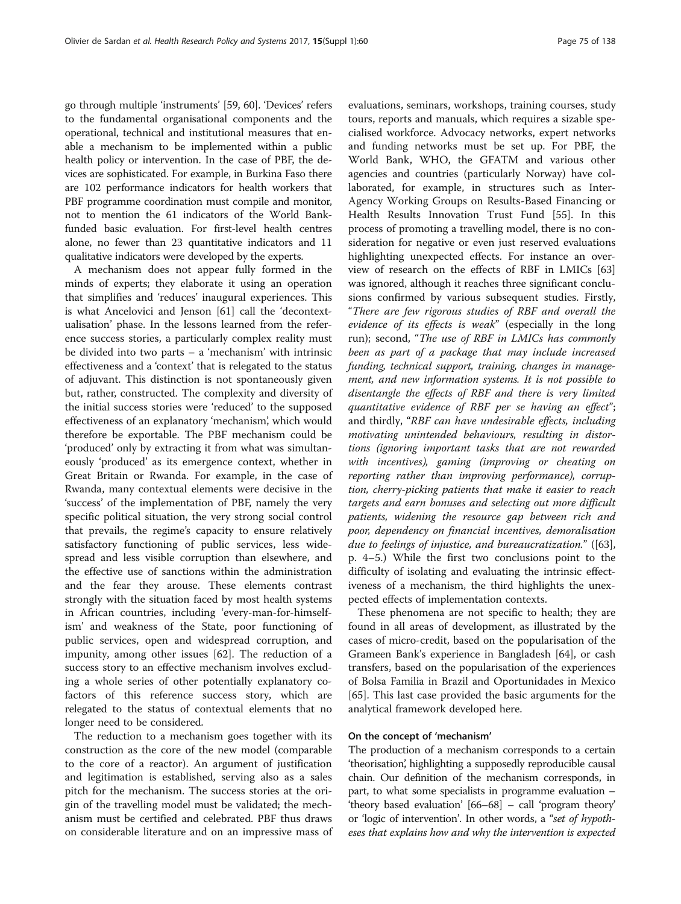go through multiple 'instruments' [\[59](#page-14-0), [60\]](#page-14-0). 'Devices' refers to the fundamental organisational components and the operational, technical and institutional measures that enable a mechanism to be implemented within a public health policy or intervention. In the case of PBF, the devices are sophisticated. For example, in Burkina Faso there are 102 performance indicators for health workers that PBF programme coordination must compile and monitor, not to mention the 61 indicators of the World Bankfunded basic evaluation. For first-level health centres alone, no fewer than 23 quantitative indicators and 11 qualitative indicators were developed by the experts.

A mechanism does not appear fully formed in the minds of experts; they elaborate it using an operation that simplifies and 'reduces' inaugural experiences. This is what Ancelovici and Jenson [\[61](#page-14-0)] call the 'decontextualisation' phase. In the lessons learned from the reference success stories, a particularly complex reality must be divided into two parts – a 'mechanism' with intrinsic effectiveness and a 'context' that is relegated to the status of adjuvant. This distinction is not spontaneously given but, rather, constructed. The complexity and diversity of the initial success stories were 'reduced' to the supposed effectiveness of an explanatory 'mechanism', which would therefore be exportable. The PBF mechanism could be 'produced' only by extracting it from what was simultaneously 'produced' as its emergence context, whether in Great Britain or Rwanda. For example, in the case of Rwanda, many contextual elements were decisive in the 'success' of the implementation of PBF, namely the very specific political situation, the very strong social control that prevails, the regime's capacity to ensure relatively satisfactory functioning of public services, less widespread and less visible corruption than elsewhere, and the effective use of sanctions within the administration and the fear they arouse. These elements contrast strongly with the situation faced by most health systems in African countries, including 'every-man-for-himselfism' and weakness of the State, poor functioning of public services, open and widespread corruption, and impunity, among other issues [[62\]](#page-14-0). The reduction of a success story to an effective mechanism involves excluding a whole series of other potentially explanatory cofactors of this reference success story, which are relegated to the status of contextual elements that no longer need to be considered.

The reduction to a mechanism goes together with its construction as the core of the new model (comparable to the core of a reactor). An argument of justification and legitimation is established, serving also as a sales pitch for the mechanism. The success stories at the origin of the travelling model must be validated; the mechanism must be certified and celebrated. PBF thus draws on considerable literature and on an impressive mass of

evaluations, seminars, workshops, training courses, study tours, reports and manuals, which requires a sizable specialised workforce. Advocacy networks, expert networks and funding networks must be set up. For PBF, the World Bank, WHO, the GFATM and various other agencies and countries (particularly Norway) have collaborated, for example, in structures such as Inter-Agency Working Groups on Results-Based Financing or Health Results Innovation Trust Fund [\[55](#page-14-0)]. In this process of promoting a travelling model, there is no consideration for negative or even just reserved evaluations highlighting unexpected effects. For instance an overview of research on the effects of RBF in LMICs [[63](#page-14-0)] was ignored, although it reaches three significant conclusions confirmed by various subsequent studies. Firstly, "There are few rigorous studies of RBF and overall the evidence of its effects is weak" (especially in the long run); second, "The use of RBF in LMICs has commonly been as part of a package that may include increased funding, technical support, training, changes in management, and new information systems. It is not possible to disentangle the effects of RBF and there is very limited quantitative evidence of RBF per se having an effect"; and thirdly, "RBF can have undesirable effects, including motivating unintended behaviours, resulting in distortions (ignoring important tasks that are not rewarded with incentives), gaming (improving or cheating on reporting rather than improving performance), corruption, cherry-picking patients that make it easier to reach targets and earn bonuses and selecting out more difficult patients, widening the resource gap between rich and poor, dependency on financial incentives, demoralisation due to feelings of injustice, and bureaucratization." ([\[63](#page-14-0)], p. 4–5.) While the first two conclusions point to the difficulty of isolating and evaluating the intrinsic effectiveness of a mechanism, the third highlights the unexpected effects of implementation contexts.

These phenomena are not specific to health; they are found in all areas of development, as illustrated by the cases of micro-credit, based on the popularisation of the Grameen Bank's experience in Bangladesh [[64\]](#page-14-0), or cash transfers, based on the popularisation of the experiences of Bolsa Familia in Brazil and Oportunidades in Mexico [[65\]](#page-14-0). This last case provided the basic arguments for the analytical framework developed here.

# On the concept of 'mechanism'

The production of a mechanism corresponds to a certain 'theorisation', highlighting a supposedly reproducible causal chain. Our definition of the mechanism corresponds, in part, to what some specialists in programme evaluation – 'theory based evaluation' [\[66](#page-14-0)–[68\]](#page-14-0) – call 'program theory' or 'logic of intervention'. In other words, a "set of hypotheses that explains how and why the intervention is expected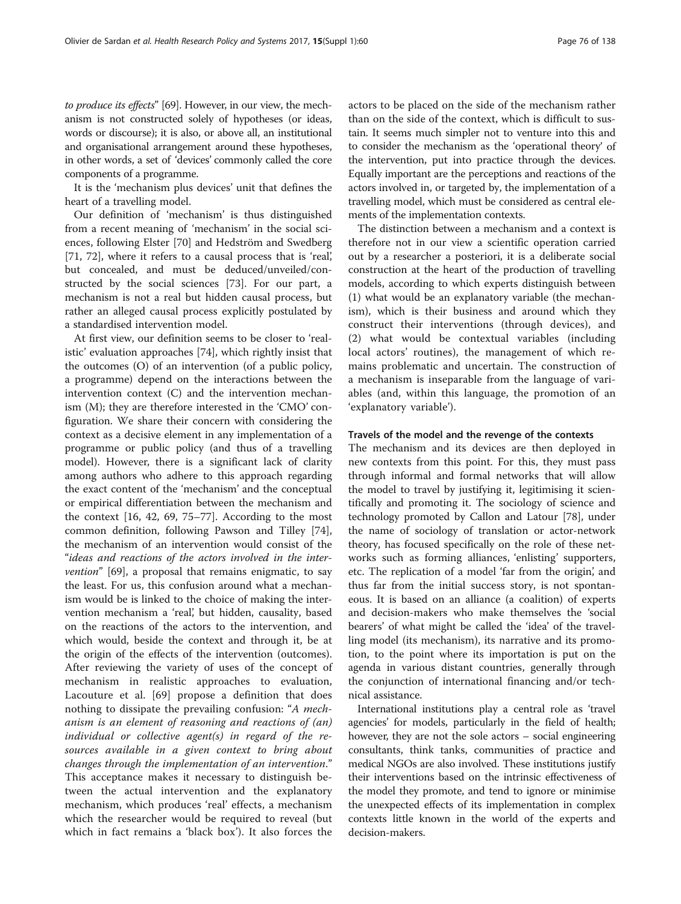to produce its effects" [\[69\]](#page-14-0). However, in our view, the mechanism is not constructed solely of hypotheses (or ideas, words or discourse); it is also, or above all, an institutional and organisational arrangement around these hypotheses, in other words, a set of 'devices' commonly called the core components of a programme.

It is the 'mechanism plus devices' unit that defines the heart of a travelling model.

Our definition of 'mechanism' is thus distinguished from a recent meaning of 'mechanism' in the social sciences, following Elster [[70\]](#page-14-0) and Hedström and Swedberg [[71, 72](#page-14-0)], where it refers to a causal process that is 'real', but concealed, and must be deduced/unveiled/constructed by the social sciences [[73\]](#page-14-0). For our part, a mechanism is not a real but hidden causal process, but rather an alleged causal process explicitly postulated by a standardised intervention model.

At first view, our definition seems to be closer to 'realistic' evaluation approaches [\[74](#page-14-0)], which rightly insist that the outcomes (O) of an intervention (of a public policy, a programme) depend on the interactions between the intervention context (C) and the intervention mechanism (M); they are therefore interested in the 'CMO' configuration. We share their concern with considering the context as a decisive element in any implementation of a programme or public policy (and thus of a travelling model). However, there is a significant lack of clarity among authors who adhere to this approach regarding the exact content of the 'mechanism' and the conceptual or empirical differentiation between the mechanism and the context [\[16](#page-13-0), [42](#page-14-0), [69](#page-14-0), [75](#page-14-0)–[77](#page-15-0)]. According to the most common definition, following Pawson and Tilley [\[74](#page-14-0)], the mechanism of an intervention would consist of the "ideas and reactions of the actors involved in the inter-vention" [\[69\]](#page-14-0), a proposal that remains enigmatic, to say the least. For us, this confusion around what a mechanism would be is linked to the choice of making the intervention mechanism a 'real', but hidden, causality, based on the reactions of the actors to the intervention, and which would, beside the context and through it, be at the origin of the effects of the intervention (outcomes). After reviewing the variety of uses of the concept of mechanism in realistic approaches to evaluation, Lacouture et al. [\[69](#page-14-0)] propose a definition that does nothing to dissipate the prevailing confusion: "A mechanism is an element of reasoning and reactions of (an) individual or collective agent(s) in regard of the resources available in a given context to bring about changes through the implementation of an intervention." This acceptance makes it necessary to distinguish between the actual intervention and the explanatory mechanism, which produces 'real' effects, a mechanism which the researcher would be required to reveal (but which in fact remains a 'black box'). It also forces the actors to be placed on the side of the mechanism rather than on the side of the context, which is difficult to sustain. It seems much simpler not to venture into this and to consider the mechanism as the 'operational theory' of the intervention, put into practice through the devices. Equally important are the perceptions and reactions of the actors involved in, or targeted by, the implementation of a travelling model, which must be considered as central elements of the implementation contexts.

The distinction between a mechanism and a context is therefore not in our view a scientific operation carried out by a researcher a posteriori, it is a deliberate social construction at the heart of the production of travelling models, according to which experts distinguish between (1) what would be an explanatory variable (the mechanism), which is their business and around which they construct their interventions (through devices), and (2) what would be contextual variables (including local actors' routines), the management of which remains problematic and uncertain. The construction of a mechanism is inseparable from the language of variables (and, within this language, the promotion of an 'explanatory variable').

# Travels of the model and the revenge of the contexts

The mechanism and its devices are then deployed in new contexts from this point. For this, they must pass through informal and formal networks that will allow the model to travel by justifying it, legitimising it scientifically and promoting it. The sociology of science and technology promoted by Callon and Latour [\[78](#page-15-0)], under the name of sociology of translation or actor-network theory, has focused specifically on the role of these networks such as forming alliances, 'enlisting' supporters, etc. The replication of a model 'far from the origin', and thus far from the initial success story, is not spontaneous. It is based on an alliance (a coalition) of experts and decision-makers who make themselves the 'social bearers' of what might be called the 'idea' of the travelling model (its mechanism), its narrative and its promotion, to the point where its importation is put on the agenda in various distant countries, generally through the conjunction of international financing and/or technical assistance.

International institutions play a central role as 'travel agencies' for models, particularly in the field of health; however, they are not the sole actors – social engineering consultants, think tanks, communities of practice and medical NGOs are also involved. These institutions justify their interventions based on the intrinsic effectiveness of the model they promote, and tend to ignore or minimise the unexpected effects of its implementation in complex contexts little known in the world of the experts and decision-makers.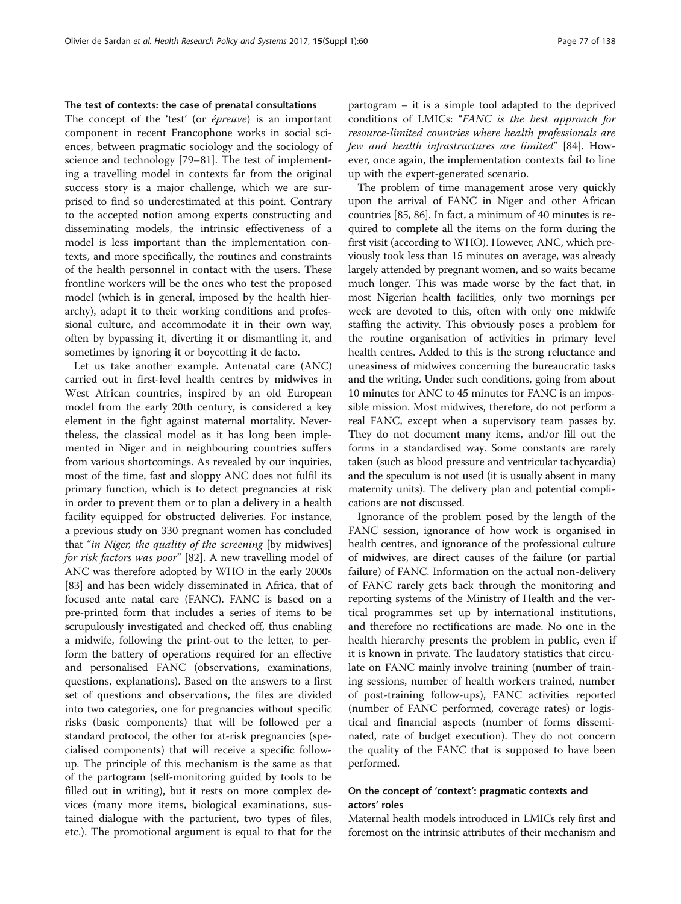# The test of contexts: the case of prenatal consultations

The concept of the 'test' (or épreuve) is an important component in recent Francophone works in social sciences, between pragmatic sociology and the sociology of science and technology [\[79](#page-15-0)–[81](#page-15-0)]. The test of implementing a travelling model in contexts far from the original success story is a major challenge, which we are surprised to find so underestimated at this point. Contrary to the accepted notion among experts constructing and disseminating models, the intrinsic effectiveness of a model is less important than the implementation contexts, and more specifically, the routines and constraints of the health personnel in contact with the users. These frontline workers will be the ones who test the proposed model (which is in general, imposed by the health hierarchy), adapt it to their working conditions and professional culture, and accommodate it in their own way, often by bypassing it, diverting it or dismantling it, and sometimes by ignoring it or boycotting it de facto.

Let us take another example. Antenatal care (ANC) carried out in first-level health centres by midwives in West African countries, inspired by an old European model from the early 20th century, is considered a key element in the fight against maternal mortality. Nevertheless, the classical model as it has long been implemented in Niger and in neighbouring countries suffers from various shortcomings. As revealed by our inquiries, most of the time, fast and sloppy ANC does not fulfil its primary function, which is to detect pregnancies at risk in order to prevent them or to plan a delivery in a health facility equipped for obstructed deliveries. For instance, a previous study on 330 pregnant women has concluded that "in Niger, the quality of the screening [by midwives] for risk factors was poor" [[82\]](#page-15-0). A new travelling model of ANC was therefore adopted by WHO in the early 2000s [[83\]](#page-15-0) and has been widely disseminated in Africa, that of focused ante natal care (FANC). FANC is based on a pre-printed form that includes a series of items to be scrupulously investigated and checked off, thus enabling a midwife, following the print-out to the letter, to perform the battery of operations required for an effective and personalised FANC (observations, examinations, questions, explanations). Based on the answers to a first set of questions and observations, the files are divided into two categories, one for pregnancies without specific risks (basic components) that will be followed per a standard protocol, the other for at-risk pregnancies (specialised components) that will receive a specific followup. The principle of this mechanism is the same as that of the partogram (self-monitoring guided by tools to be filled out in writing), but it rests on more complex devices (many more items, biological examinations, sustained dialogue with the parturient, two types of files, etc.). The promotional argument is equal to that for the

partogram – it is a simple tool adapted to the deprived conditions of LMICs: "FANC is the best approach for resource-limited countries where health professionals are few and health infrastructures are limited" [[84](#page-15-0)]. However, once again, the implementation contexts fail to line up with the expert-generated scenario.

The problem of time management arose very quickly upon the arrival of FANC in Niger and other African countries [[85](#page-15-0), [86\]](#page-15-0). In fact, a minimum of 40 minutes is required to complete all the items on the form during the first visit (according to WHO). However, ANC, which previously took less than 15 minutes on average, was already largely attended by pregnant women, and so waits became much longer. This was made worse by the fact that, in most Nigerian health facilities, only two mornings per week are devoted to this, often with only one midwife staffing the activity. This obviously poses a problem for the routine organisation of activities in primary level health centres. Added to this is the strong reluctance and uneasiness of midwives concerning the bureaucratic tasks and the writing. Under such conditions, going from about 10 minutes for ANC to 45 minutes for FANC is an impossible mission. Most midwives, therefore, do not perform a real FANC, except when a supervisory team passes by. They do not document many items, and/or fill out the forms in a standardised way. Some constants are rarely taken (such as blood pressure and ventricular tachycardia) and the speculum is not used (it is usually absent in many maternity units). The delivery plan and potential complications are not discussed.

Ignorance of the problem posed by the length of the FANC session, ignorance of how work is organised in health centres, and ignorance of the professional culture of midwives, are direct causes of the failure (or partial failure) of FANC. Information on the actual non-delivery of FANC rarely gets back through the monitoring and reporting systems of the Ministry of Health and the vertical programmes set up by international institutions, and therefore no rectifications are made. No one in the health hierarchy presents the problem in public, even if it is known in private. The laudatory statistics that circulate on FANC mainly involve training (number of training sessions, number of health workers trained, number of post-training follow-ups), FANC activities reported (number of FANC performed, coverage rates) or logistical and financial aspects (number of forms disseminated, rate of budget execution). They do not concern the quality of the FANC that is supposed to have been performed.

# On the concept of 'context': pragmatic contexts and actors' roles

Maternal health models introduced in LMICs rely first and foremost on the intrinsic attributes of their mechanism and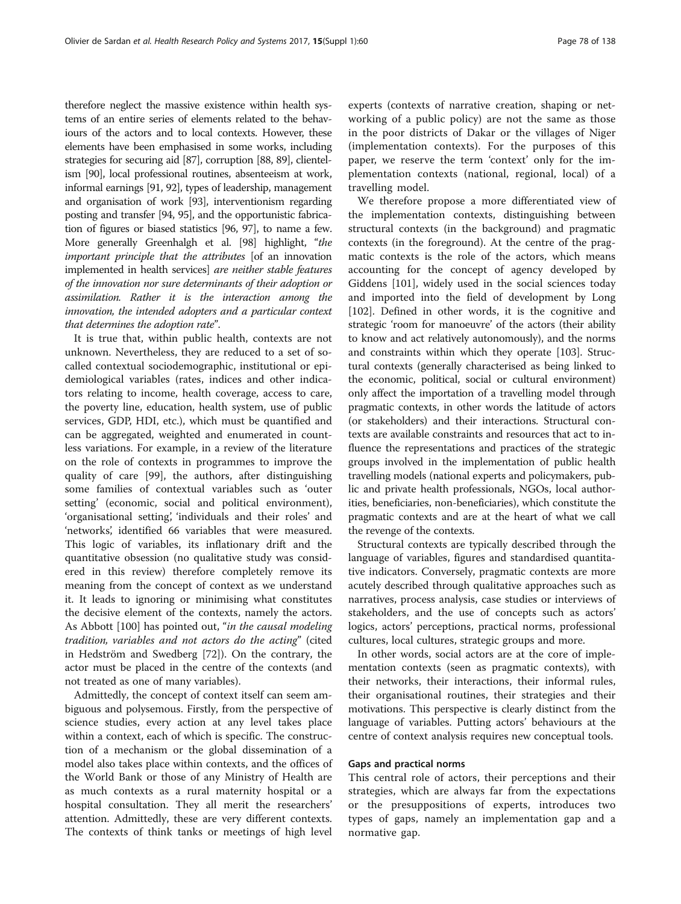therefore neglect the massive existence within health systems of an entire series of elements related to the behaviours of the actors and to local contexts. However, these elements have been emphasised in some works, including strategies for securing aid [[87](#page-15-0)], corruption [[88, 89](#page-15-0)], clientelism [\[90\]](#page-15-0), local professional routines, absenteeism at work, informal earnings [\[91, 92\]](#page-15-0), types of leadership, management and organisation of work [\[93](#page-15-0)], interventionism regarding posting and transfer [\[94, 95](#page-15-0)], and the opportunistic fabrication of figures or biased statistics [[96](#page-15-0), [97](#page-15-0)], to name a few. More generally Greenhalgh et al. [\[98\]](#page-15-0) highlight, "the important principle that the attributes [of an innovation implemented in health services] are neither stable features of the innovation nor sure determinants of their adoption or assimilation. Rather it is the interaction among the innovation, the intended adopters and a particular context that determines the adoption rate".

It is true that, within public health, contexts are not unknown. Nevertheless, they are reduced to a set of socalled contextual sociodemographic, institutional or epidemiological variables (rates, indices and other indicators relating to income, health coverage, access to care, the poverty line, education, health system, use of public services, GDP, HDI, etc.), which must be quantified and can be aggregated, weighted and enumerated in countless variations. For example, in a review of the literature on the role of contexts in programmes to improve the quality of care [\[99\]](#page-15-0), the authors, after distinguishing some families of contextual variables such as 'outer setting' (economic, social and political environment), 'organisational setting', 'individuals and their roles' and 'networks', identified 66 variables that were measured. This logic of variables, its inflationary drift and the quantitative obsession (no qualitative study was considered in this review) therefore completely remove its meaning from the concept of context as we understand it. It leads to ignoring or minimising what constitutes the decisive element of the contexts, namely the actors. As Abbott [\[100\]](#page-15-0) has pointed out, "in the causal modeling tradition, variables and not actors do the acting" (cited in Hedström and Swedberg [\[72\]](#page-14-0)). On the contrary, the actor must be placed in the centre of the contexts (and not treated as one of many variables).

Admittedly, the concept of context itself can seem ambiguous and polysemous. Firstly, from the perspective of science studies, every action at any level takes place within a context, each of which is specific. The construction of a mechanism or the global dissemination of a model also takes place within contexts, and the offices of the World Bank or those of any Ministry of Health are as much contexts as a rural maternity hospital or a hospital consultation. They all merit the researchers' attention. Admittedly, these are very different contexts. The contexts of think tanks or meetings of high level

experts (contexts of narrative creation, shaping or networking of a public policy) are not the same as those in the poor districts of Dakar or the villages of Niger (implementation contexts). For the purposes of this paper, we reserve the term 'context' only for the implementation contexts (national, regional, local) of a travelling model.

We therefore propose a more differentiated view of the implementation contexts, distinguishing between structural contexts (in the background) and pragmatic contexts (in the foreground). At the centre of the pragmatic contexts is the role of the actors, which means accounting for the concept of agency developed by Giddens [[101\]](#page-15-0), widely used in the social sciences today and imported into the field of development by Long [[102\]](#page-15-0). Defined in other words, it is the cognitive and strategic 'room for manoeuvre' of the actors (their ability to know and act relatively autonomously), and the norms and constraints within which they operate [[103](#page-15-0)]. Structural contexts (generally characterised as being linked to the economic, political, social or cultural environment) only affect the importation of a travelling model through pragmatic contexts, in other words the latitude of actors (or stakeholders) and their interactions. Structural contexts are available constraints and resources that act to influence the representations and practices of the strategic groups involved in the implementation of public health travelling models (national experts and policymakers, public and private health professionals, NGOs, local authorities, beneficiaries, non-beneficiaries), which constitute the pragmatic contexts and are at the heart of what we call the revenge of the contexts.

Structural contexts are typically described through the language of variables, figures and standardised quantitative indicators. Conversely, pragmatic contexts are more acutely described through qualitative approaches such as narratives, process analysis, case studies or interviews of stakeholders, and the use of concepts such as actors' logics, actors' perceptions, practical norms, professional cultures, local cultures, strategic groups and more.

In other words, social actors are at the core of implementation contexts (seen as pragmatic contexts), with their networks, their interactions, their informal rules, their organisational routines, their strategies and their motivations. This perspective is clearly distinct from the language of variables. Putting actors' behaviours at the centre of context analysis requires new conceptual tools.

# Gaps and practical norms

This central role of actors, their perceptions and their strategies, which are always far from the expectations or the presuppositions of experts, introduces two types of gaps, namely an implementation gap and a normative gap.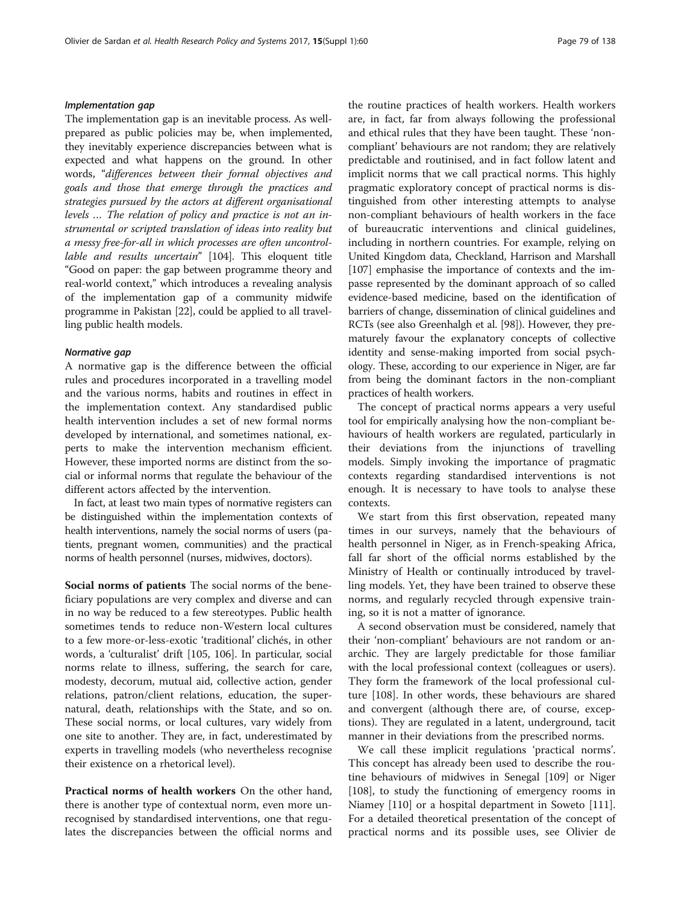# Implementation gap

The implementation gap is an inevitable process. As wellprepared as public policies may be, when implemented, they inevitably experience discrepancies between what is expected and what happens on the ground. In other words, "differences between their formal objectives and goals and those that emerge through the practices and strategies pursued by the actors at different organisational levels … The relation of policy and practice is not an instrumental or scripted translation of ideas into reality but a messy free-for-all in which processes are often uncontrollable and results uncertain" [\[104\]](#page-15-0). This eloquent title "Good on paper: the gap between programme theory and real-world context," which introduces a revealing analysis of the implementation gap of a community midwife programme in Pakistan [\[22\]](#page-14-0), could be applied to all travelling public health models.

#### Normative gap

A normative gap is the difference between the official rules and procedures incorporated in a travelling model and the various norms, habits and routines in effect in the implementation context. Any standardised public health intervention includes a set of new formal norms developed by international, and sometimes national, experts to make the intervention mechanism efficient. However, these imported norms are distinct from the social or informal norms that regulate the behaviour of the different actors affected by the intervention.

In fact, at least two main types of normative registers can be distinguished within the implementation contexts of health interventions, namely the social norms of users (patients, pregnant women, communities) and the practical norms of health personnel (nurses, midwives, doctors).

Social norms of patients The social norms of the beneficiary populations are very complex and diverse and can in no way be reduced to a few stereotypes. Public health sometimes tends to reduce non-Western local cultures to a few more-or-less-exotic 'traditional' clichés, in other words, a 'culturalist' drift [[105, 106](#page-15-0)]. In particular, social norms relate to illness, suffering, the search for care, modesty, decorum, mutual aid, collective action, gender relations, patron/client relations, education, the supernatural, death, relationships with the State, and so on. These social norms, or local cultures, vary widely from one site to another. They are, in fact, underestimated by experts in travelling models (who nevertheless recognise their existence on a rhetorical level).

Practical norms of health workers On the other hand, there is another type of contextual norm, even more unrecognised by standardised interventions, one that regulates the discrepancies between the official norms and the routine practices of health workers. Health workers are, in fact, far from always following the professional and ethical rules that they have been taught. These 'noncompliant' behaviours are not random; they are relatively predictable and routinised, and in fact follow latent and implicit norms that we call practical norms. This highly pragmatic exploratory concept of practical norms is distinguished from other interesting attempts to analyse non-compliant behaviours of health workers in the face of bureaucratic interventions and clinical guidelines, including in northern countries. For example, relying on United Kingdom data, Checkland, Harrison and Marshall [[107](#page-15-0)] emphasise the importance of contexts and the impasse represented by the dominant approach of so called evidence-based medicine, based on the identification of barriers of change, dissemination of clinical guidelines and RCTs (see also Greenhalgh et al. [\[98\]](#page-15-0)). However, they prematurely favour the explanatory concepts of collective identity and sense-making imported from social psychology. These, according to our experience in Niger, are far from being the dominant factors in the non-compliant practices of health workers.

The concept of practical norms appears a very useful tool for empirically analysing how the non-compliant behaviours of health workers are regulated, particularly in their deviations from the injunctions of travelling models. Simply invoking the importance of pragmatic contexts regarding standardised interventions is not enough. It is necessary to have tools to analyse these contexts.

We start from this first observation, repeated many times in our surveys, namely that the behaviours of health personnel in Niger, as in French-speaking Africa, fall far short of the official norms established by the Ministry of Health or continually introduced by travelling models. Yet, they have been trained to observe these norms, and regularly recycled through expensive training, so it is not a matter of ignorance.

A second observation must be considered, namely that their 'non-compliant' behaviours are not random or anarchic. They are largely predictable for those familiar with the local professional context (colleagues or users). They form the framework of the local professional culture [\[108](#page-15-0)]. In other words, these behaviours are shared and convergent (although there are, of course, exceptions). They are regulated in a latent, underground, tacit manner in their deviations from the prescribed norms.

We call these implicit regulations 'practical norms'. This concept has already been used to describe the routine behaviours of midwives in Senegal [[109\]](#page-15-0) or Niger [[108\]](#page-15-0), to study the functioning of emergency rooms in Niamey [[110\]](#page-15-0) or a hospital department in Soweto [[111](#page-15-0)]. For a detailed theoretical presentation of the concept of practical norms and its possible uses, see Olivier de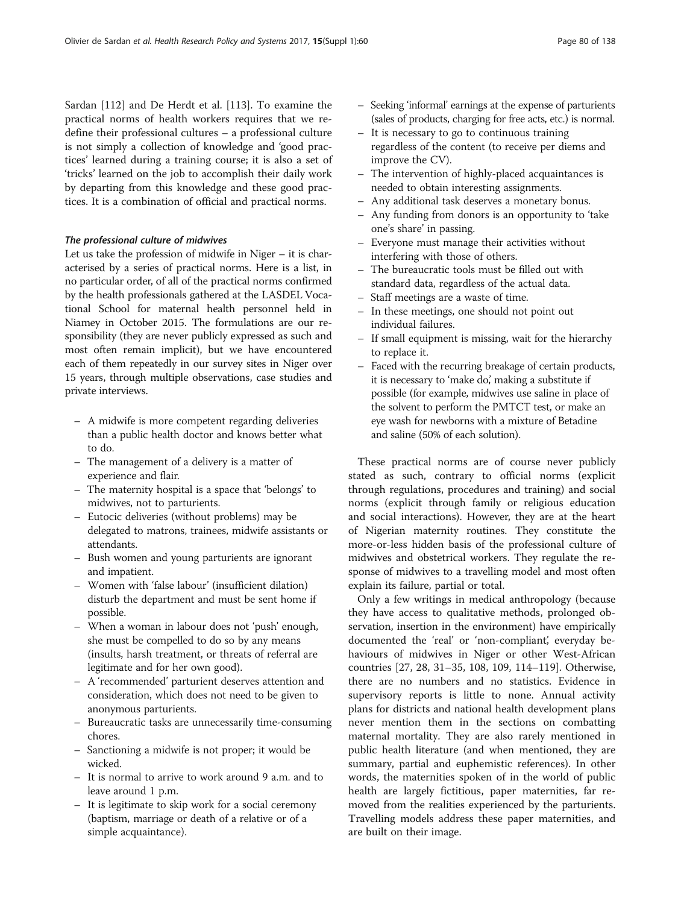Sardan [[112](#page-15-0)] and De Herdt et al. [\[113\]](#page-15-0). To examine the practical norms of health workers requires that we redefine their professional cultures – a professional culture is not simply a collection of knowledge and 'good practices' learned during a training course; it is also a set of 'tricks' learned on the job to accomplish their daily work by departing from this knowledge and these good practices. It is a combination of official and practical norms.

# The professional culture of midwives

Let us take the profession of midwife in Niger – it is characterised by a series of practical norms. Here is a list, in no particular order, of all of the practical norms confirmed by the health professionals gathered at the LASDEL Vocational School for maternal health personnel held in Niamey in October 2015. The formulations are our responsibility (they are never publicly expressed as such and most often remain implicit), but we have encountered each of them repeatedly in our survey sites in Niger over 15 years, through multiple observations, case studies and private interviews.

- A midwife is more competent regarding deliveries than a public health doctor and knows better what to do.
- The management of a delivery is a matter of experience and flair.
- The maternity hospital is a space that 'belongs' to midwives, not to parturients.
- Eutocic deliveries (without problems) may be delegated to matrons, trainees, midwife assistants or attendants.
- Bush women and young parturients are ignorant and impatient.
- Women with 'false labour' (insufficient dilation) disturb the department and must be sent home if possible.
- When a woman in labour does not 'push' enough, she must be compelled to do so by any means (insults, harsh treatment, or threats of referral are legitimate and for her own good).
- A 'recommended' parturient deserves attention and consideration, which does not need to be given to anonymous parturients.
- Bureaucratic tasks are unnecessarily time-consuming chores.
- Sanctioning a midwife is not proper; it would be wicked.
- It is normal to arrive to work around 9 a.m. and to leave around 1 p.m.
- It is legitimate to skip work for a social ceremony (baptism, marriage or death of a relative or of a simple acquaintance).
- Seeking 'informal' earnings at the expense of parturients (sales of products, charging for free acts, etc.) is normal.
- It is necessary to go to continuous training regardless of the content (to receive per diems and improve the CV).
- The intervention of highly-placed acquaintances is needed to obtain interesting assignments.
- Any additional task deserves a monetary bonus.
- Any funding from donors is an opportunity to 'take one's share' in passing.
- Everyone must manage their activities without interfering with those of others.
- The bureaucratic tools must be filled out with standard data, regardless of the actual data.
- Staff meetings are a waste of time.
- In these meetings, one should not point out individual failures.
- If small equipment is missing, wait for the hierarchy to replace it.
- Faced with the recurring breakage of certain products, it is necessary to 'make do,' making a substitute if possible (for example, midwives use saline in place of the solvent to perform the PMTCT test, or make an eye wash for newborns with a mixture of Betadine and saline (50% of each solution).

These practical norms are of course never publicly stated as such, contrary to official norms (explicit through regulations, procedures and training) and social norms (explicit through family or religious education and social interactions). However, they are at the heart of Nigerian maternity routines. They constitute the more-or-less hidden basis of the professional culture of midwives and obstetrical workers. They regulate the response of midwives to a travelling model and most often explain its failure, partial or total.

Only a few writings in medical anthropology (because they have access to qualitative methods, prolonged observation, insertion in the environment) have empirically documented the 'real' or 'non-compliant', everyday behaviours of midwives in Niger or other West-African countries [[27, 28, 31](#page-14-0)–[35](#page-14-0), [108](#page-15-0), [109](#page-15-0), [114](#page-15-0)–[119](#page-15-0)]. Otherwise, there are no numbers and no statistics. Evidence in supervisory reports is little to none. Annual activity plans for districts and national health development plans never mention them in the sections on combatting maternal mortality. They are also rarely mentioned in public health literature (and when mentioned, they are summary, partial and euphemistic references). In other words, the maternities spoken of in the world of public health are largely fictitious, paper maternities, far removed from the realities experienced by the parturients. Travelling models address these paper maternities, and are built on their image.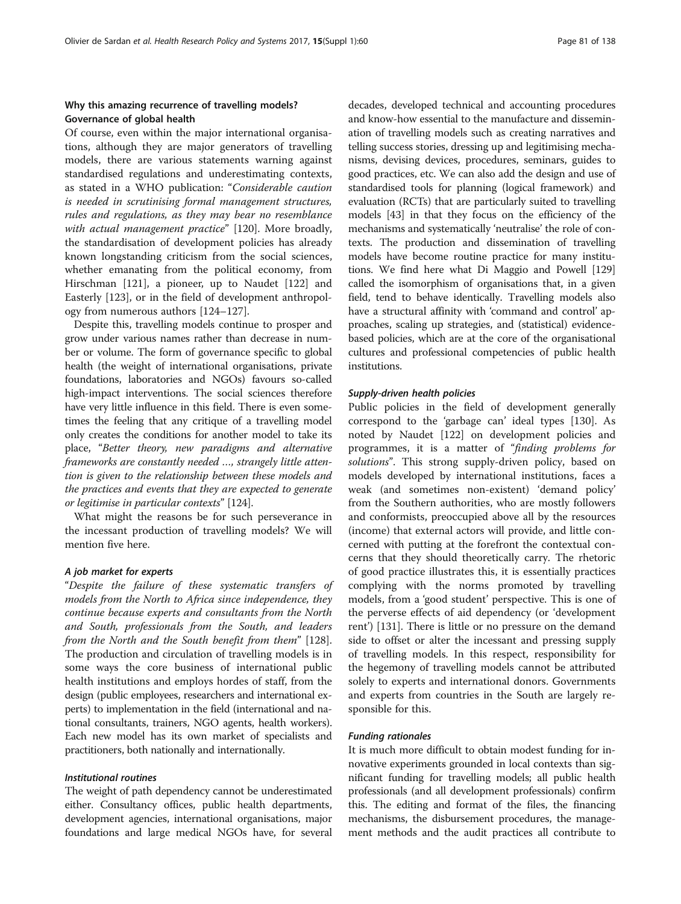# Why this amazing recurrence of travelling models? Governance of global health

Of course, even within the major international organisations, although they are major generators of travelling models, there are various statements warning against standardised regulations and underestimating contexts, as stated in a WHO publication: "Considerable caution is needed in scrutinising formal management structures, rules and regulations, as they may bear no resemblance with actual management practice" [\[120](#page-15-0)]. More broadly, the standardisation of development policies has already known longstanding criticism from the social sciences, whether emanating from the political economy, from Hirschman [[121](#page-15-0)], a pioneer, up to Naudet [\[122\]](#page-15-0) and Easterly [\[123](#page-15-0)], or in the field of development anthropology from numerous authors [[124](#page-15-0)–[127](#page-16-0)].

Despite this, travelling models continue to prosper and grow under various names rather than decrease in number or volume. The form of governance specific to global health (the weight of international organisations, private foundations, laboratories and NGOs) favours so-called high-impact interventions. The social sciences therefore have very little influence in this field. There is even sometimes the feeling that any critique of a travelling model only creates the conditions for another model to take its place, "Better theory, new paradigms and alternative frameworks are constantly needed …, strangely little attention is given to the relationship between these models and the practices and events that they are expected to generate or legitimise in particular contexts" [\[124](#page-15-0)].

What might the reasons be for such perseverance in the incessant production of travelling models? We will mention five here.

#### A job market for experts

"Despite the failure of these systematic transfers of models from the North to Africa since independence, they continue because experts and consultants from the North and South, professionals from the South, and leaders from the North and the South benefit from them" [\[128](#page-16-0)]. The production and circulation of travelling models is in some ways the core business of international public health institutions and employs hordes of staff, from the design (public employees, researchers and international experts) to implementation in the field (international and national consultants, trainers, NGO agents, health workers). Each new model has its own market of specialists and practitioners, both nationally and internationally.

# Institutional routines

The weight of path dependency cannot be underestimated either. Consultancy offices, public health departments, development agencies, international organisations, major foundations and large medical NGOs have, for several

decades, developed technical and accounting procedures and know-how essential to the manufacture and dissemination of travelling models such as creating narratives and telling success stories, dressing up and legitimising mechanisms, devising devices, procedures, seminars, guides to good practices, etc. We can also add the design and use of standardised tools for planning (logical framework) and evaluation (RCTs) that are particularly suited to travelling models [\[43\]](#page-14-0) in that they focus on the efficiency of the mechanisms and systematically 'neutralise' the role of contexts. The production and dissemination of travelling models have become routine practice for many institutions. We find here what Di Maggio and Powell [\[129](#page-16-0)] called the isomorphism of organisations that, in a given field, tend to behave identically. Travelling models also have a structural affinity with 'command and control' approaches, scaling up strategies, and (statistical) evidencebased policies, which are at the core of the organisational cultures and professional competencies of public health institutions.

#### Supply-driven health policies

Public policies in the field of development generally correspond to the 'garbage can' ideal types [\[130\]](#page-16-0). As noted by Naudet [\[122](#page-15-0)] on development policies and programmes, it is a matter of "finding problems for solutions". This strong supply-driven policy, based on models developed by international institutions, faces a weak (and sometimes non-existent) 'demand policy' from the Southern authorities, who are mostly followers and conformists, preoccupied above all by the resources (income) that external actors will provide, and little concerned with putting at the forefront the contextual concerns that they should theoretically carry. The rhetoric of good practice illustrates this, it is essentially practices complying with the norms promoted by travelling models, from a 'good student' perspective. This is one of the perverse effects of aid dependency (or 'development rent') [[131](#page-16-0)]. There is little or no pressure on the demand side to offset or alter the incessant and pressing supply of travelling models. In this respect, responsibility for the hegemony of travelling models cannot be attributed solely to experts and international donors. Governments and experts from countries in the South are largely responsible for this.

#### Funding rationales

It is much more difficult to obtain modest funding for innovative experiments grounded in local contexts than significant funding for travelling models; all public health professionals (and all development professionals) confirm this. The editing and format of the files, the financing mechanisms, the disbursement procedures, the management methods and the audit practices all contribute to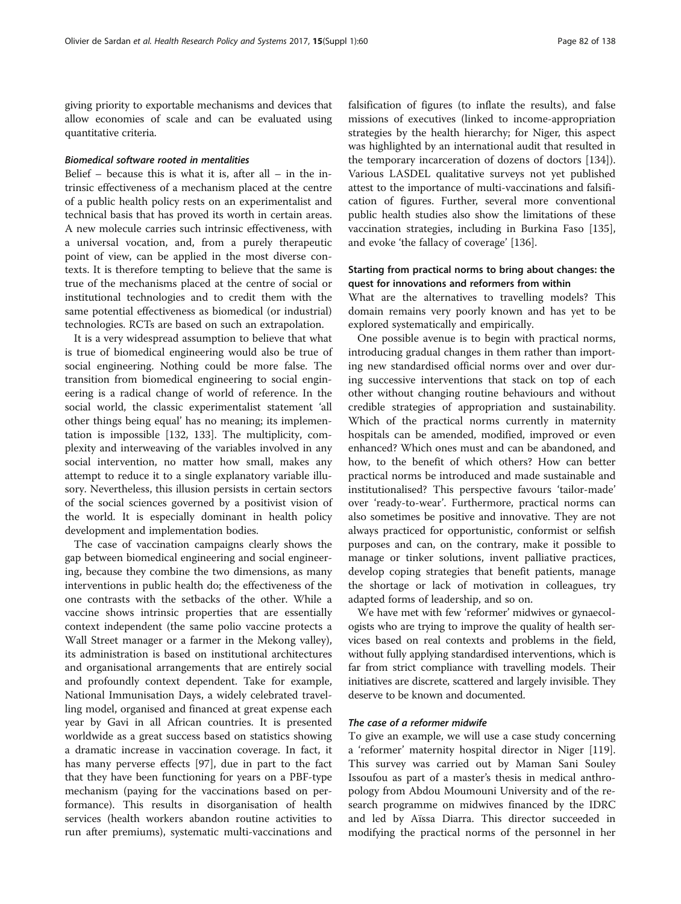giving priority to exportable mechanisms and devices that allow economies of scale and can be evaluated using quantitative criteria.

# Biomedical software rooted in mentalities

Belief – because this is what it is, after all – in the intrinsic effectiveness of a mechanism placed at the centre of a public health policy rests on an experimentalist and technical basis that has proved its worth in certain areas. A new molecule carries such intrinsic effectiveness, with a universal vocation, and, from a purely therapeutic point of view, can be applied in the most diverse contexts. It is therefore tempting to believe that the same is true of the mechanisms placed at the centre of social or institutional technologies and to credit them with the same potential effectiveness as biomedical (or industrial) technologies. RCTs are based on such an extrapolation.

It is a very widespread assumption to believe that what is true of biomedical engineering would also be true of social engineering. Nothing could be more false. The transition from biomedical engineering to social engineering is a radical change of world of reference. In the social world, the classic experimentalist statement 'all other things being equal' has no meaning; its implementation is impossible [[132, 133](#page-16-0)]. The multiplicity, complexity and interweaving of the variables involved in any social intervention, no matter how small, makes any attempt to reduce it to a single explanatory variable illusory. Nevertheless, this illusion persists in certain sectors of the social sciences governed by a positivist vision of the world. It is especially dominant in health policy development and implementation bodies.

The case of vaccination campaigns clearly shows the gap between biomedical engineering and social engineering, because they combine the two dimensions, as many interventions in public health do; the effectiveness of the one contrasts with the setbacks of the other. While a vaccine shows intrinsic properties that are essentially context independent (the same polio vaccine protects a Wall Street manager or a farmer in the Mekong valley), its administration is based on institutional architectures and organisational arrangements that are entirely social and profoundly context dependent. Take for example, National Immunisation Days, a widely celebrated travelling model, organised and financed at great expense each year by Gavi in all African countries. It is presented worldwide as a great success based on statistics showing a dramatic increase in vaccination coverage. In fact, it has many perverse effects [[97\]](#page-15-0), due in part to the fact that they have been functioning for years on a PBF-type mechanism (paying for the vaccinations based on performance). This results in disorganisation of health services (health workers abandon routine activities to run after premiums), systematic multi-vaccinations and falsification of figures (to inflate the results), and false missions of executives (linked to income-appropriation strategies by the health hierarchy; for Niger, this aspect was highlighted by an international audit that resulted in the temporary incarceration of dozens of doctors [\[134](#page-16-0)]). Various LASDEL qualitative surveys not yet published attest to the importance of multi-vaccinations and falsification of figures. Further, several more conventional public health studies also show the limitations of these vaccination strategies, including in Burkina Faso [[135](#page-16-0)], and evoke 'the fallacy of coverage' [[136\]](#page-16-0).

# Starting from practical norms to bring about changes: the quest for innovations and reformers from within

What are the alternatives to travelling models? This domain remains very poorly known and has yet to be explored systematically and empirically.

One possible avenue is to begin with practical norms, introducing gradual changes in them rather than importing new standardised official norms over and over during successive interventions that stack on top of each other without changing routine behaviours and without credible strategies of appropriation and sustainability. Which of the practical norms currently in maternity hospitals can be amended, modified, improved or even enhanced? Which ones must and can be abandoned, and how, to the benefit of which others? How can better practical norms be introduced and made sustainable and institutionalised? This perspective favours 'tailor-made' over 'ready-to-wear'. Furthermore, practical norms can also sometimes be positive and innovative. They are not always practiced for opportunistic, conformist or selfish purposes and can, on the contrary, make it possible to manage or tinker solutions, invent palliative practices, develop coping strategies that benefit patients, manage the shortage or lack of motivation in colleagues, try adapted forms of leadership, and so on.

We have met with few 'reformer' midwives or gynaecologists who are trying to improve the quality of health services based on real contexts and problems in the field, without fully applying standardised interventions, which is far from strict compliance with travelling models. Their initiatives are discrete, scattered and largely invisible. They deserve to be known and documented.

# The case of a reformer midwife

To give an example, we will use a case study concerning a 'reformer' maternity hospital director in Niger [[119](#page-15-0)]. This survey was carried out by Maman Sani Souley Issoufou as part of a master's thesis in medical anthropology from Abdou Moumouni University and of the research programme on midwives financed by the IDRC and led by Aïssa Diarra. This director succeeded in modifying the practical norms of the personnel in her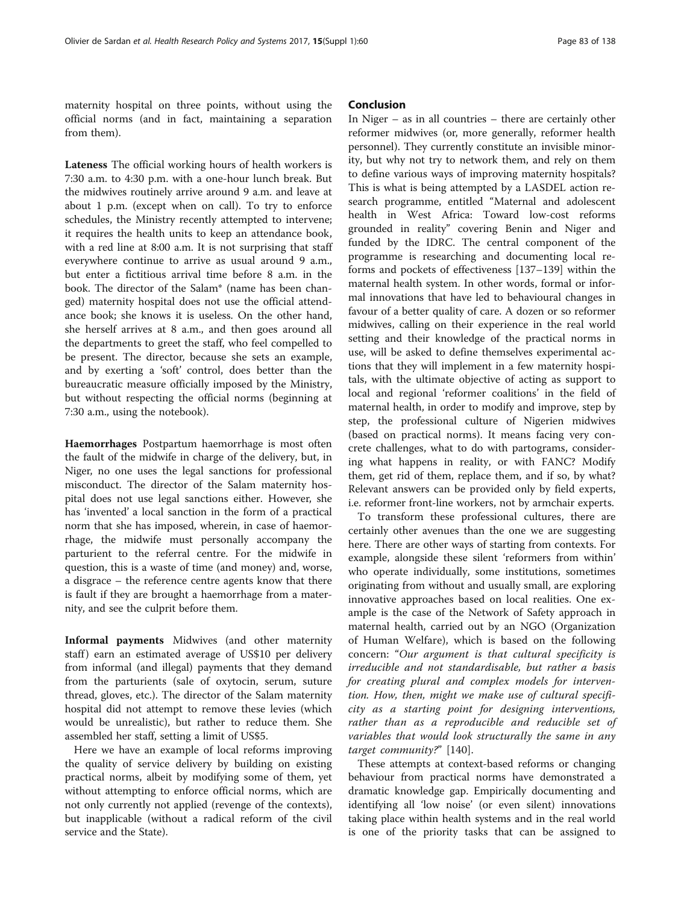maternity hospital on three points, without using the official norms (and in fact, maintaining a separation from them).

Lateness The official working hours of health workers is 7:30 a.m. to 4:30 p.m. with a one-hour lunch break. But the midwives routinely arrive around 9 a.m. and leave at about 1 p.m. (except when on call). To try to enforce schedules, the Ministry recently attempted to intervene; it requires the health units to keep an attendance book, with a red line at 8:00 a.m. It is not surprising that staff everywhere continue to arrive as usual around 9 a.m., but enter a fictitious arrival time before 8 a.m. in the book. The director of the Salam\* (name has been changed) maternity hospital does not use the official attendance book; she knows it is useless. On the other hand, she herself arrives at 8 a.m., and then goes around all the departments to greet the staff, who feel compelled to be present. The director, because she sets an example, and by exerting a 'soft' control, does better than the bureaucratic measure officially imposed by the Ministry, but without respecting the official norms (beginning at 7:30 a.m., using the notebook).

Haemorrhages Postpartum haemorrhage is most often the fault of the midwife in charge of the delivery, but, in Niger, no one uses the legal sanctions for professional misconduct. The director of the Salam maternity hospital does not use legal sanctions either. However, she has 'invented' a local sanction in the form of a practical norm that she has imposed, wherein, in case of haemorrhage, the midwife must personally accompany the parturient to the referral centre. For the midwife in question, this is a waste of time (and money) and, worse, a disgrace – the reference centre agents know that there is fault if they are brought a haemorrhage from a maternity, and see the culprit before them.

Informal payments Midwives (and other maternity staff) earn an estimated average of US\$10 per delivery from informal (and illegal) payments that they demand from the parturients (sale of oxytocin, serum, suture thread, gloves, etc.). The director of the Salam maternity hospital did not attempt to remove these levies (which would be unrealistic), but rather to reduce them. She assembled her staff, setting a limit of US\$5.

Here we have an example of local reforms improving the quality of service delivery by building on existing practical norms, albeit by modifying some of them, yet without attempting to enforce official norms, which are not only currently not applied (revenge of the contexts), but inapplicable (without a radical reform of the civil service and the State).

# Conclusion

In Niger – as in all countries – there are certainly other reformer midwives (or, more generally, reformer health personnel). They currently constitute an invisible minority, but why not try to network them, and rely on them to define various ways of improving maternity hospitals? This is what is being attempted by a LASDEL action research programme, entitled "Maternal and adolescent health in West Africa: Toward low-cost reforms grounded in reality" covering Benin and Niger and funded by the IDRC. The central component of the programme is researching and documenting local reforms and pockets of effectiveness [\[137](#page-16-0)–[139\]](#page-16-0) within the maternal health system. In other words, formal or informal innovations that have led to behavioural changes in favour of a better quality of care. A dozen or so reformer midwives, calling on their experience in the real world setting and their knowledge of the practical norms in use, will be asked to define themselves experimental actions that they will implement in a few maternity hospitals, with the ultimate objective of acting as support to local and regional 'reformer coalitions' in the field of maternal health, in order to modify and improve, step by step, the professional culture of Nigerien midwives (based on practical norms). It means facing very concrete challenges, what to do with partograms, considering what happens in reality, or with FANC? Modify them, get rid of them, replace them, and if so, by what? Relevant answers can be provided only by field experts, i.e. reformer front-line workers, not by armchair experts.

To transform these professional cultures, there are certainly other avenues than the one we are suggesting here. There are other ways of starting from contexts. For example, alongside these silent 'reformers from within' who operate individually, some institutions, sometimes originating from without and usually small, are exploring innovative approaches based on local realities. One example is the case of the Network of Safety approach in maternal health, carried out by an NGO (Organization of Human Welfare), which is based on the following concern: "Our argument is that cultural specificity is irreducible and not standardisable, but rather a basis for creating plural and complex models for intervention. How, then, might we make use of cultural specificity as a starting point for designing interventions, rather than as a reproducible and reducible set of variables that would look structurally the same in any target community?" [[140\]](#page-16-0).

These attempts at context-based reforms or changing behaviour from practical norms have demonstrated a dramatic knowledge gap. Empirically documenting and identifying all 'low noise' (or even silent) innovations taking place within health systems and in the real world is one of the priority tasks that can be assigned to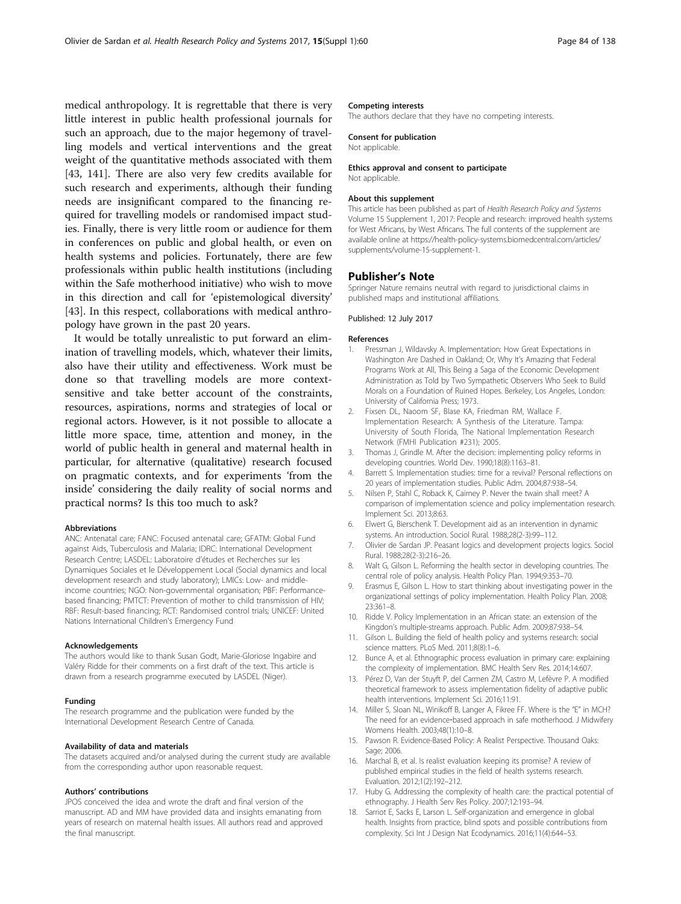<span id="page-13-0"></span>medical anthropology. It is regrettable that there is very little interest in public health professional journals for such an approach, due to the major hegemony of travelling models and vertical interventions and the great weight of the quantitative methods associated with them [[43,](#page-14-0) [141](#page-16-0)]. There are also very few credits available for such research and experiments, although their funding needs are insignificant compared to the financing required for travelling models or randomised impact studies. Finally, there is very little room or audience for them in conferences on public and global health, or even on health systems and policies. Fortunately, there are few professionals within public health institutions (including within the Safe motherhood initiative) who wish to move in this direction and call for 'epistemological diversity' [[43\]](#page-14-0). In this respect, collaborations with medical anthropology have grown in the past 20 years.

It would be totally unrealistic to put forward an elimination of travelling models, which, whatever their limits, also have their utility and effectiveness. Work must be done so that travelling models are more contextsensitive and take better account of the constraints, resources, aspirations, norms and strategies of local or regional actors. However, is it not possible to allocate a little more space, time, attention and money, in the world of public health in general and maternal health in particular, for alternative (qualitative) research focused on pragmatic contexts, and for experiments 'from the inside' considering the daily reality of social norms and practical norms? Is this too much to ask?

#### Abbreviations

ANC: Antenatal care; FANC: Focused antenatal care; GFATM: Global Fund against Aids, Tuberculosis and Malaria; IDRC: International Development Research Centre; LASDEL: Laboratoire d'études et Recherches sur les Dynamiques Sociales et le Développement Local (Social dynamics and local development research and study laboratory); LMICs: Low- and middleincome countries; NGO: Non-governmental organisation; PBF: Performancebased financing; PMTCT: Prevention of mother to child transmission of HIV; RBF: Result-based financing; RCT: Randomised control trials; UNICEF: United Nations International Children's Emergency Fund

#### Acknowledgements

The authors would like to thank Susan Godt, Marie-Gloriose Ingabire and Valéry Ridde for their comments on a first draft of the text. This article is drawn from a research programme executed by LASDEL (Niger).

#### Funding

The research programme and the publication were funded by the International Development Research Centre of Canada.

#### Availability of data and materials

The datasets acquired and/or analysed during the current study are available from the corresponding author upon reasonable request.

#### Authors' contributions

JPOS conceived the idea and wrote the draft and final version of the manuscript. AD and MM have provided data and insights emanating from years of research on maternal health issues. All authors read and approved the final manuscript.

#### Competing interests

The authors declare that they have no competing interests.

#### Consent for publication

Not applicable

#### Ethics approval and consent to participate

Not applicable.

#### About this supplement

This article has been published as part of Health Research Policy and Systems Volume 15 Supplement 1, 2017: People and research: improved health systems for West Africans, by West Africans. The full contents of the supplement are available online at [https://health-policy-systems.biomedcentral.com/articles/](https://health-policy-systems.biomedcentral.com/articles/supplements/volume-15-supplement-1) [supplements/volume-15-supplement-1.](https://health-policy-systems.biomedcentral.com/articles/supplements/volume-15-supplement-1)

#### Publisher's Note

Springer Nature remains neutral with regard to jurisdictional claims in published maps and institutional affiliations.

#### Published: 12 July 2017

#### References

- 1. Pressman J, Wildavsky A. Implementation: How Great Expectations in Washington Are Dashed in Oakland; Or, Why It's Amazing that Federal Programs Work at All, This Being a Saga of the Economic Development Administration as Told by Two Sympathetic Observers Who Seek to Build Morals on a Foundation of Ruined Hopes. Berkeley, Los Angeles, London: University of California Press; 1973.
- 2. Fixsen DL, Naoom SF, Blase KA, Friedman RM, Wallace F. Implementation Research: A Synthesis of the Literature. Tampa: University of South Florida, The National Implementation Research Network (FMHI Publication #231); 2005.
- Thomas J, Grindle M. After the decision: implementing policy reforms in developing countries. World Dev. 1990;18(8):1163–81.
- 4. Barrett S. Implementation studies: time for a revival? Personal reflections on 20 years of implementation studies. Public Adm. 2004;87:938–54.
- 5. Nilsen P, Stahl C, Roback K, Cairney P. Never the twain shall meet? A comparison of implementation science and policy implementation research. Implement Sci. 2013;8:63.
- 6. Elwert G, Bierschenk T. Development aid as an intervention in dynamic systems. An introduction. Sociol Rural. 1988;28(2-3):99–112.
- 7. Olivier de Sardan JP. Peasant logics and development projects logics. Sociol Rural. 1988;28(2-3):216–26.
- 8. Walt G, Gilson L. Reforming the health sector in developing countries. The central role of policy analysis. Health Policy Plan. 1994;9:353–70.
- 9. Erasmus E, Gilson L. How to start thinking about investigating power in the organizational settings of policy implementation. Health Policy Plan. 2008; 23:361–8.
- 10. Ridde V. Policy Implementation in an African state: an extension of the Kingdon's multiple-streams approach. Public Adm. 2009;87:938–54.
- 11. Gilson L. Building the field of health policy and systems research: social science matters. PLoS Med. 2011;8(8):1–6.
- 12. Bunce A, et al. Ethnographic process evaluation in primary care: explaining the complexity of implementation. BMC Health Serv Res. 2014;14:607.
- 13. Pérez D, Van der Stuyft P, del Carmen ZM, Castro M, Lefèvre P. A modified theoretical framework to assess implementation fidelity of adaptive public health interventions. Implement Sci. 2016;11:91.
- 14. Miller S, Sloan NL, Winikoff B, Langer A, Fikree FF. Where is the "E" in MCH? The need for an evidence-based approach in safe motherhood. J Midwifery Womens Health. 2003;48(1):10–8.
- 15. Pawson R. Evidence-Based Policy: A Realist Perspective. Thousand Oaks: Sage; 2006.
- 16. Marchal B, et al. Is realist evaluation keeping its promise? A review of published empirical studies in the field of health systems research. Evaluation. 2012;1(2):192–212.
- 17. Huby G. Addressing the complexity of health care: the practical potential of ethnography. J Health Serv Res Policy. 2007;12:193–94.
- 18. Sarriot E, Sacks E, Larson L. Self-organization and emergence in global health. Insights from practice, blind spots and possible contributions from complexity. Sci Int J Design Nat Ecodynamics. 2016;11(4):644–53.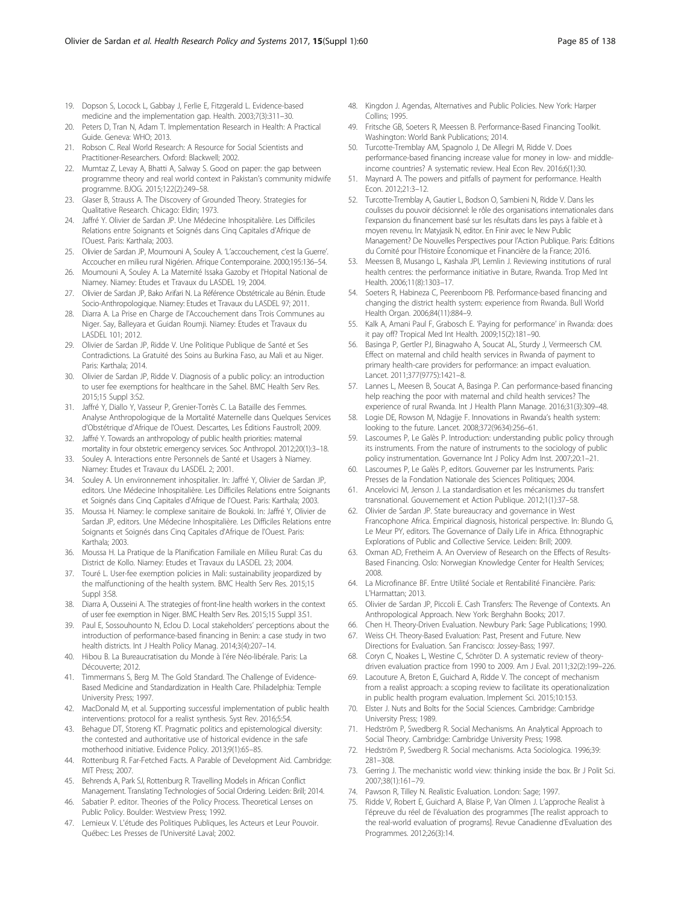- <span id="page-14-0"></span>19. Dopson S, Locock L, Gabbay J, Ferlie E, Fitzgerald L. Evidence-based medicine and the implementation gap. Health. 2003;7(3):311–30.
- 20. Peters D, Tran N, Adam T. Implementation Research in Health: A Practical Guide. Geneva: WHO; 2013.
- 21. Robson C. Real World Research: A Resource for Social Scientists and Practitioner-Researchers. Oxford: Blackwell; 2002.
- 22. Mumtaz Z, Levay A, Bhatti A, Salway S. Good on paper: the gap between programme theory and real world context in Pakistan's community midwife programme. BJOG. 2015;122(2):249–58.
- 23. Glaser B, Strauss A. The Discovery of Grounded Theory. Strategies for Qualitative Research. Chicago: Eldin; 1973.
- 24. Jaffré Y. Olivier de Sardan JP. Une Médecine Inhospitalière. Les Difficiles Relations entre Soignants et Soignés dans Cinq Capitales d'Afrique de l'Ouest. Paris: Karthala; 2003.
- 25. Olivier de Sardan JP, Moumouni A, Souley A. 'L'accouchement, c'est la Guerre'. Accoucher en milieu rural Nigérien. Afrique Contemporaine. 2000;195:136–54.
- 26. Moumouni A, Souley A. La Maternité Issaka Gazoby et l'Hopital National de Niamey. Niamey: Etudes et Travaux du LASDEL 19; 2004.
- 27. Olivier de Sardan JP, Bako Arifari N. La Référence Obstétricale au Bénin. Etude Socio-Anthropologique. Niamey: Etudes et Travaux du LASDEL 97; 2011.
- 28. Diarra A. La Prise en Charge de l'Accouchement dans Trois Communes au Niger. Say, Balleyara et Guidan Roumji. Niamey: Etudes et Travaux du LASDEL 101; 2012.
- 29. Olivier de Sardan JP, Ridde V. Une Politique Publique de Santé et Ses Contradictions. La Gratuité des Soins au Burkina Faso, au Mali et au Niger. Paris: Karthala; 2014.
- 30. Olivier de Sardan JP, Ridde V. Diagnosis of a public policy: an introduction to user fee exemptions for healthcare in the Sahel. BMC Health Serv Res. 2015;15 Suppl 3:S2.
- 31. Jaffré Y, Diallo Y, Vasseur P, Grenier-Torrès C. La Bataille des Femmes. Analyse Anthropologique de la Mortalité Maternelle dans Quelques Services d'Obstétrique d'Afrique de l'Ouest. Descartes, Les Éditions Faustroll; 2009.
- 32. Jaffré Y. Towards an anthropology of public health priorities: maternal mortality in four obstetric emergency services. Soc Anthropol. 2012;20(1):3–18.
- 33. Souley A. Interactions entre Personnels de Santé et Usagers à Niamey. Niamey: Etudes et Travaux du LASDEL 2; 2001.
- 34. Souley A. Un environnement inhospitalier. In: Jaffré Y, Olivier de Sardan JP, editors. Une Médecine Inhospitalière. Les Difficiles Relations entre Soignants et Soignés dans Cinq Capitales d'Afrique de l'Ouest. Paris: Karthala; 2003.
- 35. Moussa H. Niamey: le complexe sanitaire de Boukoki. In: Jaffré Y, Olivier de Sardan JP, editors. Une Médecine Inhospitalière. Les Difficiles Relations entre Soignants et Soignés dans Cinq Capitales d'Afrique de l'Ouest. Paris: Karthala; 2003.
- 36. Moussa H. La Pratique de la Planification Familiale en Milieu Rural: Cas du District de Kollo. Niamey: Etudes et Travaux du LASDEL 23; 2004.
- 37. Touré L. User-fee exemption policies in Mali: sustainability jeopardized by the malfunctioning of the health system. BMC Health Serv Res. 2015;15 Suppl 3:S8
- 38. Diarra A, Ousseini A. The strategies of front-line health workers in the context of user fee exemption in Niger. BMC Health Serv Res. 2015;15 Suppl 3:S1.
- 39. Paul E, Sossouhounto N, Eclou D. Local stakeholders' perceptions about the introduction of performance-based financing in Benin: a case study in two health districts. Int J Health Policy Manag. 2014;3(4):207–14.
- 40. Hibou B. La Bureaucratisation du Monde à l'ére Néo-libérale. Paris: La Découverte; 2012.
- 41. Timmermans S, Berg M. The Gold Standard. The Challenge of Evidence-Based Medicine and Standardization in Health Care. Philadelphia: Temple University Press; 1997.
- 42. MacDonald M, et al. Supporting successful implementation of public health interventions: protocol for a realist synthesis. Syst Rev. 2016;5:54.
- 43. Behague DT, Storeng KT. Pragmatic politics and epistemological diversity: the contested and authoritative use of historical evidence in the safe motherhood initiative. Evidence Policy. 2013;9(1):65–85.
- 44. Rottenburg R. Far-Fetched Facts. A Parable of Development Aid. Cambridge: MIT Press; 2007.
- 45. Behrends A, Park SJ, Rottenburg R. Travelling Models in African Conflict Management. Translating Technologies of Social Ordering. Leiden: Brill; 2014.
- 46. Sabatier P. editor. Theories of the Policy Process. Theoretical Lenses on Public Policy. Boulder: Westview Press; 1992.
- 47. Lemieux V. L'étude des Politiques Publiques, les Acteurs et Leur Pouvoir. Québec: Les Presses de l'Université Laval; 2002.
- 48. Kingdon J. Agendas, Alternatives and Public Policies. New York: Harper Collins; 1995.
- 49. Fritsche GB, Soeters R, Meessen B. Performance-Based Financing Toolkit. Washington: World Bank Publications; 2014.
- 50. Turcotte-Tremblay AM, Spagnolo J, De Allegri M, Ridde V. Does performance-based financing increase value for money in low- and middleincome countries? A systematic review. Heal Econ Rev. 2016;6(1):30.
- 51. Maynard A. The powers and pitfalls of payment for performance. Health Econ. 2012;21:3–12.
- 52. Turcotte-Tremblay A, Gautier L, Bodson O, Sambieni N, Ridde V. Dans les coulisses du pouvoir décisionnel: le rôle des organisations internationales dans l'expansion du financement basé sur les résultats dans les pays à faible et à moyen revenu. In: Matyjasik N, editor. En Finir avec le New Public Management? De Nouvelles Perspectives pour l'Action Publique. Paris: Éditions du Comité pour l'Histoire Économique et Financière de la France; 2016.
- 53. Meessen B, Musango L, Kashala JPI, Lemlin J. Reviewing institutions of rural health centres: the performance initiative in Butare, Rwanda. Trop Med Int Health. 2006;11(8):1303–17.
- 54. Soeters R, Habineza C, Peerenboom PB. Performance-based financing and changing the district health system: experience from Rwanda. Bull World Health Organ. 2006;84(11):884–9.
- 55. Kalk A, Amani Paul F, Grabosch E. 'Paying for performance' in Rwanda: does it pay off? Tropical Med Int Health. 2009;15(2):181–90.
- 56. Basinga P, Gertler PJ, Binagwaho A, Soucat AL, Sturdy J, Vermeersch CM. Effect on maternal and child health services in Rwanda of payment to primary health-care providers for performance: an impact evaluation. Lancet. 2011;377(9775):1421–8.
- 57. Lannes L, Meesen B, Soucat A, Basinga P. Can performance-based financing help reaching the poor with maternal and child health services? The experience of rural Rwanda. Int J Health Plann Manage. 2016;31(3):309–48.
- 58. Logie DE, Rowson M, Ndagije F. Innovations in Rwanda's health system: looking to the future. Lancet. 2008;372(9634):256–61.
- 59. Lascoumes P, Le Galès P. Introduction: understanding public policy through its instruments. From the nature of instruments to the sociology of public policy instrumentation. Governance Int J Policy Adm Inst. 2007;20:1–21.
- 60. Lascoumes P, Le Galès P, editors. Gouverner par les Instruments. Paris: Presses de la Fondation Nationale des Sciences Politiques; 2004.
- 61. Ancelovici M, Jenson J. La standardisation et les mécanismes du transfert transnational. Gouvernement et Action Publique. 2012;1(1):37–58.
- 62. Olivier de Sardan JP. State bureaucracy and governance in West Francophone Africa. Empirical diagnosis, historical perspective. In: Blundo G, Le Meur PY, editors. The Governance of Daily Life in Africa. Ethnographic Explorations of Public and Collective Service. Leiden: Brill; 2009.
- 63. Oxman AD, Fretheim A. An Overview of Research on the Effects of Results-Based Financing. Oslo: Norwegian Knowledge Center for Health Services; 2008.
- 64. La Microfinance BF. Entre Utilité Sociale et Rentabilité Financière. Paris: L'Harmattan; 2013.
- 65. Olivier de Sardan JP, Piccoli E. Cash Transfers: The Revenge of Contexts. An Anthropological Approach. New York: Berghahn Books; 2017.
- 66. Chen H. Theory-Driven Evaluation. Newbury Park: Sage Publications; 1990.
- 67. Weiss CH. Theory-Based Evaluation: Past, Present and Future. New Directions for Evaluation. San Francisco: Jossey-Bass; 1997.
- Coryn C, Noakes L, Westine C, Schröter D. A systematic review of theorydriven evaluation practice from 1990 to 2009. Am J Eval. 2011;32(2):199–226.
- 69. Lacouture A, Breton E, Guichard A, Ridde V. The concept of mechanism from a realist approach: a scoping review to facilitate its operationalization in public health program evaluation. Implement Sci. 2015;10:153.
- 70. Elster J. Nuts and Bolts for the Social Sciences. Cambridge: Cambridge University Press; 1989.
- 71. Hedström P, Swedberg R. Social Mechanisms. An Analytical Approach to Social Theory. Cambridge: Cambridge University Press; 1998.
- 72. Hedström P, Swedberg R. Social mechanisms. Acta Sociologica. 1996;39: 281–308.
- 73. Gerring J. The mechanistic world view: thinking inside the box. Br J Polit Sci. 2007;38(1):161–79.
- 74. Pawson R, Tilley N. Realistic Evaluation. London: Sage; 1997.
- 75. Ridde V, Robert E, Guichard A, Blaise P, Van Olmen J. L'approche Realist à l'épreuve du réel de l'évaluation des programmes [The realist approach to the real-world evaluation of programs]. Revue Canadienne d'Evaluation des Programmes. 2012;26(3):14.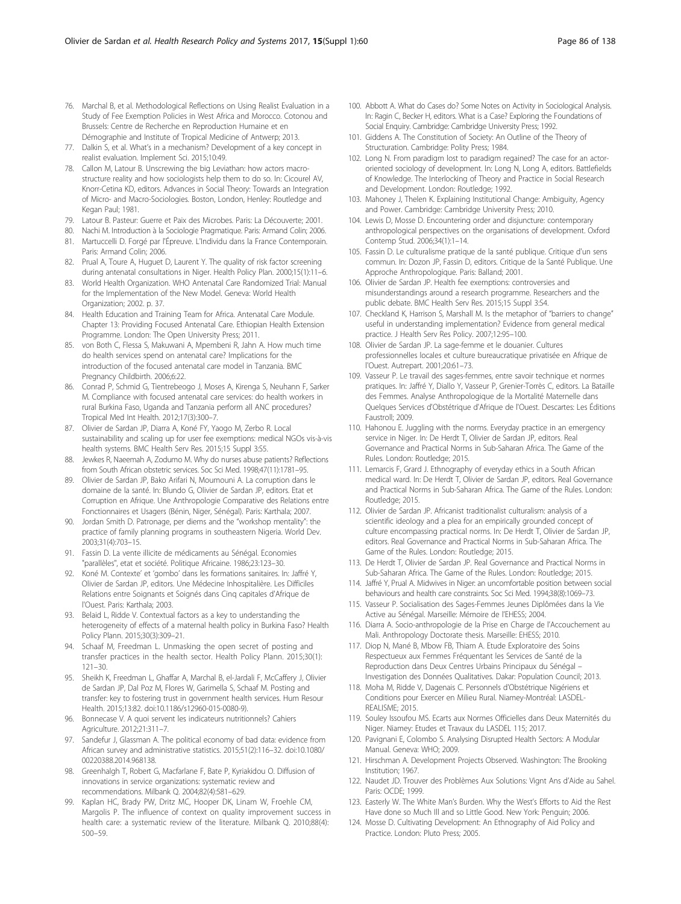- <span id="page-15-0"></span>76. Marchal B, et al. Methodological Reflections on Using Realist Evaluation in a Study of Fee Exemption Policies in West Africa and Morocco. Cotonou and Brussels: Centre de Recherche en Reproduction Humaine et en Démographie and Institute of Tropical Medicine of Antwerp; 2013.
- 77. Dalkin S, et al. What's in a mechanism? Development of a key concept in realist evaluation. Implement Sci. 2015;10:49.
- 78. Callon M, Latour B. Unscrewing the big Leviathan: how actors macrostructure reality and how sociologists help them to do so. In: Cicourel AV, Knorr-Cetina KD, editors. Advances in Social Theory: Towards an Integration of Micro- and Macro-Sociologies. Boston, London, Henley: Routledge and Kegan Paul; 1981.
- 79. Latour B. Pasteur: Guerre et Paix des Microbes. Paris: La Découverte; 2001.
- 80. Nachi M. Introduction à la Sociologie Pragmatique. Paris: Armand Colin; 2006. 81. Martuccelli D. Forgé par l'Épreuve. L'Individu dans la France Contemporain.
- Paris: Armand Colin; 2006.
- 82. Prual A, Toure A, Huguet D, Laurent Y. The quality of risk factor screening during antenatal consultations in Niger. Health Policy Plan. 2000;15(1):11–6.
- 83. World Health Organization. WHO Antenatal Care Randomized Trial: Manual for the Implementation of the New Model. Geneva: World Health Organization; 2002. p. 37.
- 84. Health Education and Training Team for Africa. Antenatal Care Module. Chapter 13: Providing Focused Antenatal Care. Ethiopian Health Extension Programme. London: The Open University Press; 2011.
- 85. von Both C, Flessa S, Makuwani A, Mpembeni R, Jahn A. How much time do health services spend on antenatal care? Implications for the introduction of the focused antenatal care model in Tanzania. BMC Pregnancy Childbirth. 2006;6:22.
- 86. Conrad P, Schmid G, Tientrebeogo J, Moses A, Kirenga S, Neuhann F, Sarker M. Compliance with focused antenatal care services: do health workers in rural Burkina Faso, Uganda and Tanzania perform all ANC procedures? Tropical Med Int Health. 2012;17(3):300–7.
- 87. Olivier de Sardan JP, Diarra A, Koné FY, Yaogo M, Zerbo R. Local sustainability and scaling up for user fee exemptions: medical NGOs vis-à-vis health systems. BMC Health Serv Res. 2015;15 Suppl 3:S5.
- 88. Jewkes R, Naeemah A, Zodumo M. Why do nurses abuse patients? Reflections from South African obstetric services. Soc Sci Med. 1998;47(11):1781–95.
- 89. Olivier de Sardan JP, Bako Arifari N, Moumouni A. La corruption dans le domaine de la santé. In: Blundo G, Olivier de Sardan JP, editors. Etat et Corruption en Afrique. Une Anthropologie Comparative des Relations entre Fonctionnaires et Usagers (Bénin, Niger, Sénégal). Paris: Karthala; 2007.
- 90. Jordan Smith D. Patronage, per diems and the "workshop mentality": the practice of family planning programs in southeastern Nigeria. World Dev. 2003;31(4):703–15.
- 91. Fassin D. La vente illicite de médicaments au Sénégal. Economies "parallèles", etat et société. Politique Africaine. 1986;23:123–30.
- 92. Koné M. Contexte' et 'gombo' dans les formations sanitaires. In: Jaffré Y, Olivier de Sardan JP, editors. Une Médecine Inhospitalière. Les Difficiles Relations entre Soignants et Soignés dans Cinq capitales d'Afrique de l'Ouest. Paris: Karthala; 2003.
- 93. Belaid L, Ridde V. Contextual factors as a key to understanding the heterogeneity of effects of a maternal health policy in Burkina Faso? Health Policy Plann. 2015;30(3):309–21.
- 94. Schaaf M, Freedman L. Unmasking the open secret of posting and transfer practices in the health sector. Health Policy Plann. 2015;30(1): 121–30.
- 95. Sheikh K, Freedman L, Ghaffar A, Marchal B, el-Jardali F, McCaffery J, Olivier de Sardan JP, Dal Poz M, Flores W, Garimella S, Schaaf M. Posting and transfer: key to fostering trust in government health services. Hum Resour Health. 2015;13:82. doi:[10.1186/s12960-015-0080-9\).](http://dx.doi.org/10.1186/s12960-015-0080-9))
- 96. Bonnecase V. A quoi servent les indicateurs nutritionnels? Cahiers Agriculture. 2012;21:311–7.
- 97. Sandefur J, Glassman A. The political economy of bad data: evidence from African survey and administrative statistics. 2015;51(2):116–32. doi:[10.1080/](http://dx.doi.org/10.1080/00220388.2014.968138) [00220388.2014.968138](http://dx.doi.org/10.1080/00220388.2014.968138).
- 98. Greenhalgh T, Robert G, Macfarlane F, Bate P, Kyriakidou O. Diffusion of innovations in service organizations: systematic review and recommendations. Milbank Q. 2004;82(4):581–629.
- 99. Kaplan HC, Brady PW, Dritz MC, Hooper DK, Linam W, Froehle CM, Margolis P. The influence of context on quality improvement success in health care: a systematic review of the literature. Milbank Q. 2010;88(4): 500–59.
- 100. Abbott A. What do Cases do? Some Notes on Activity in Sociological Analysis. In: Ragin C, Becker H, editors. What is a Case? Exploring the Foundations of Social Enquiry. Cambridge: Cambridge University Press; 1992.
- 101. Giddens A. The Constitution of Society: An Outline of the Theory of Structuration. Cambridge: Polity Press; 1984.
- 102. Long N. From paradigm lost to paradigm regained? The case for an actororiented sociology of development. In: Long N, Long A, editors. Battlefields of Knowledge. The Interlocking of Theory and Practice in Social Research and Development. London: Routledge; 1992.
- 103. Mahoney J, Thelen K. Explaining Institutional Change: Ambiguity, Agency and Power. Cambridge: Cambridge University Press; 2010.
- 104. Lewis D, Mosse D. Encountering order and disjuncture: contemporary anthropological perspectives on the organisations of development. Oxford Contemp Stud. 2006;34(1):1–14.
- 105. Fassin D. Le culturalisme pratique de la santé publique. Critique d'un sens commun. In: Dozon JP, Fassin D, editors. Critique de la Santé Publique. Une Approche Anthropologique. Paris: Balland; 2001.
- 106. Olivier de Sardan JP. Health fee exemptions: controversies and misunderstandings around a research programme. Researchers and the public debate. BMC Health Serv Res. 2015;15 Suppl 3:S4.
- 107. Checkland K, Harrison S, Marshall M. Is the metaphor of "barriers to change" useful in understanding implementation? Evidence from general medical practice. J Health Serv Res Policy. 2007;12:95–100.
- 108. Olivier de Sardan JP. La sage-femme et le douanier. Cultures professionnelles locales et culture bureaucratique privatisée en Afrique de l'Ouest. Autrepart. 2001;20:61–73.
- 109. Vasseur P. Le travail des sages-femmes, entre savoir technique et normes pratiques. In: Jaffré Y, Diallo Y, Vasseur P, Grenier-Torrès C, editors. La Bataille des Femmes. Analyse Anthropologique de la Mortalité Maternelle dans Quelques Services d'Obstétrique d'Afrique de l'Ouest. Descartes: Les Éditions Faustroll; 2009.
- 110. Hahonou E. Juggling with the norms. Everyday practice in an emergency service in Niger. In: De Herdt T, Olivier de Sardan JP, editors. Real Governance and Practical Norms in Sub-Saharan Africa. The Game of the Rules. London: Routledge; 2015.
- 111. Lemarcis F, Grard J. Ethnography of everyday ethics in a South African medical ward. In: De Herdt T, Olivier de Sardan JP, editors. Real Governance and Practical Norms in Sub-Saharan Africa. The Game of the Rules. London: Routledge; 2015.
- 112. Olivier de Sardan JP. Africanist traditionalist culturalism: analysis of a scientific ideology and a plea for an empirically grounded concept of culture encompassing practical norms. In: De Herdt T, Olivier de Sardan JP, editors. Real Governance and Practical Norms in Sub-Saharan Africa. The Game of the Rules. London: Routledge; 2015.
- 113. De Herdt T, Olivier de Sardan JP. Real Governance and Practical Norms in Sub-Saharan Africa. The Game of the Rules. London: Routledge; 2015.
- 114. Jaffré Y, Prual A. Midwives in Niger: an uncomfortable position between social behaviours and health care constraints. Soc Sci Med. 1994;38(8):1069–73.
- 115. Vasseur P. Socialisation des Sages-Femmes Jeunes Diplômées dans la Vie Active au Sénégal. Marseille: Mémoire de l'EHESS; 2004.
- 116. Diarra A. Socio-anthropologie de la Prise en Charge de l'Accouchement au Mali. Anthropology Doctorate thesis. Marseille: EHESS; 2010.
- 117. Diop N, Mané B, Mbow FB, Thiam A. Etude Exploratoire des Soins Respectueux aux Femmes Fréquentant les Services de Santé de la Reproduction dans Deux Centres Urbains Principaux du Sénégal – Investigation des Données Qualitatives. Dakar: Population Council; 2013.
- 118. Moha M, Ridde V, Dagenais C. Personnels d'Obstétrique Nigériens et Conditions pour Exercer en Milieu Rural. Niamey-Montréal: LASDEL-REALISME; 2015.
- 119. Souley Issoufou MS. Ecarts aux Normes Officielles dans Deux Maternités du Niger. Niamey: Etudes et Travaux du LASDEL 115; 2017.
- 120. Pavignani E, Colombo S. Analysing Disrupted Health Sectors: A Modular Manual. Geneva: WHO; 2009.
- 121. Hirschman A. Development Projects Observed. Washington: The Brooking Institution; 1967.
- 122. Naudet JD. Trouver des Problèmes Aux Solutions: Vignt Ans d'Aide au Sahel. Paris: OCDE; 1999.
- 123. Easterly W. The White Man's Burden. Why the West's Efforts to Aid the Rest Have done so Much Ill and so Little Good. New York: Penguin; 2006.
- 124. Mosse D. Cultivating Development: An Ethnography of Aid Policy and Practice. London: Pluto Press; 2005.